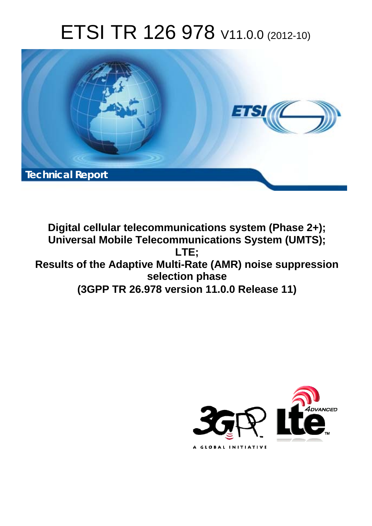# ETSI TR 126 978 V11.0.0 (2012-10)



**Digital cellular telecommunications system (Phase 2+); Universal Mobile Telecommunications System (UMTS); LTE; Results of the Adaptive Multi-Rate (AMR) noise suppression selection phase (3GPP TR 26.978 version 11.0.0 Release 11)** 

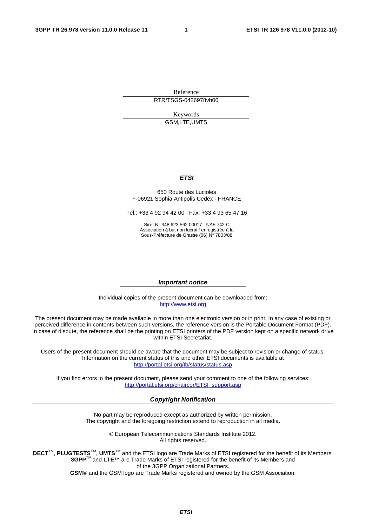Reference RTR/TSGS-0426978vb00

> Keywords GSM,LTE,UMTS

#### *ETSI*

#### 650 Route des Lucioles F-06921 Sophia Antipolis Cedex - FRANCE

Tel.: +33 4 92 94 42 00 Fax: +33 4 93 65 47 16

Siret N° 348 623 562 00017 - NAF 742 C Association à but non lucratif enregistrée à la Sous-Préfecture de Grasse (06) N° 7803/88

#### *Important notice*

Individual copies of the present document can be downloaded from: [http://www.etsi.org](http://www.etsi.org/)

The present document may be made available in more than one electronic version or in print. In any case of existing or perceived difference in contents between such versions, the reference version is the Portable Document Format (PDF). In case of dispute, the reference shall be the printing on ETSI printers of the PDF version kept on a specific network drive within ETSI Secretariat.

Users of the present document should be aware that the document may be subject to revision or change of status. Information on the current status of this and other ETSI documents is available at <http://portal.etsi.org/tb/status/status.asp>

If you find errors in the present document, please send your comment to one of the following services: [http://portal.etsi.org/chaircor/ETSI\\_support.asp](http://portal.etsi.org/chaircor/ETSI_support.asp)

#### *Copyright Notification*

No part may be reproduced except as authorized by written permission. The copyright and the foregoing restriction extend to reproduction in all media.

> © European Telecommunications Standards Institute 2012. All rights reserved.

**DECT**TM, **PLUGTESTS**TM, **UMTS**TM and the ETSI logo are Trade Marks of ETSI registered for the benefit of its Members. **3GPP**TM and **LTE**™ are Trade Marks of ETSI registered for the benefit of its Members and of the 3GPP Organizational Partners.

**GSM**® and the GSM logo are Trade Marks registered and owned by the GSM Association.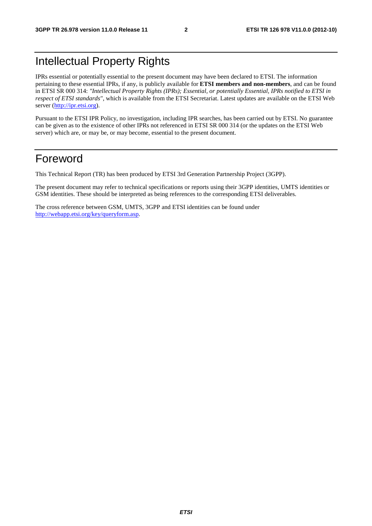### Intellectual Property Rights

IPRs essential or potentially essential to the present document may have been declared to ETSI. The information pertaining to these essential IPRs, if any, is publicly available for **ETSI members and non-members**, and can be found in ETSI SR 000 314: *"Intellectual Property Rights (IPRs); Essential, or potentially Essential, IPRs notified to ETSI in respect of ETSI standards"*, which is available from the ETSI Secretariat. Latest updates are available on the ETSI Web server [\(http://ipr.etsi.org](http://webapp.etsi.org/IPR/home.asp)).

Pursuant to the ETSI IPR Policy, no investigation, including IPR searches, has been carried out by ETSI. No guarantee can be given as to the existence of other IPRs not referenced in ETSI SR 000 314 (or the updates on the ETSI Web server) which are, or may be, or may become, essential to the present document.

### Foreword

This Technical Report (TR) has been produced by ETSI 3rd Generation Partnership Project (3GPP).

The present document may refer to technical specifications or reports using their 3GPP identities, UMTS identities or GSM identities. These should be interpreted as being references to the corresponding ETSI deliverables.

The cross reference between GSM, UMTS, 3GPP and ETSI identities can be found under [http://webapp.etsi.org/key/queryform.asp.](http://webapp.etsi.org/key/queryform.asp)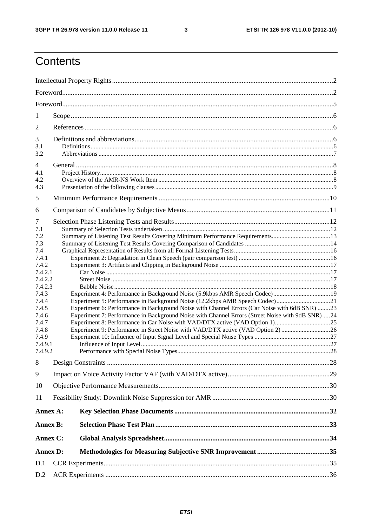$\mathbf{3}$ 

## Contents

| 1                  |                                                                                                                                                            |  |
|--------------------|------------------------------------------------------------------------------------------------------------------------------------------------------------|--|
| $\overline{2}$     |                                                                                                                                                            |  |
| 3                  |                                                                                                                                                            |  |
| 3.1                |                                                                                                                                                            |  |
| 3.2                |                                                                                                                                                            |  |
| 4                  |                                                                                                                                                            |  |
| 4.1                |                                                                                                                                                            |  |
| 4.2<br>4.3         |                                                                                                                                                            |  |
|                    |                                                                                                                                                            |  |
| 5                  |                                                                                                                                                            |  |
| 6                  |                                                                                                                                                            |  |
| 7                  |                                                                                                                                                            |  |
| 7.1                |                                                                                                                                                            |  |
| 7.2                | Summary of Listening Test Results Covering Minimum Performance Requirements13                                                                              |  |
| 7.3<br>7.4         |                                                                                                                                                            |  |
| 7.4.1              |                                                                                                                                                            |  |
| 7.4.2              |                                                                                                                                                            |  |
| 7.4.2.1            |                                                                                                                                                            |  |
| 7.4.2.2            |                                                                                                                                                            |  |
| 7.4.2.3            |                                                                                                                                                            |  |
| 7.4.3<br>7.4.4     | Experiment 4: Performance in Background Noise (5.9kbps AMR Speech Codec) 19<br>Experiment 5: Performance in Background Noise (12.2kbps AMR Speech Codec)21 |  |
| 7.4.5              | Experiment 6: Performance in Background Noise with Channel Errors (Car Noise with 6dB SNR) 23                                                              |  |
| 7.4.6              | Experiment 7: Performance in Background Noise with Channel Errors (Street Noise with 9dB SNR)24                                                            |  |
| 7.4.7              |                                                                                                                                                            |  |
| 7.4.8              | Experiment 9: Performance in Street Noise with VAD/DTX active (VAD Option 2) 26                                                                            |  |
| 7.4.9              |                                                                                                                                                            |  |
| 7.4.9.1<br>7.4.9.2 |                                                                                                                                                            |  |
|                    |                                                                                                                                                            |  |
| 8                  |                                                                                                                                                            |  |
| 9                  |                                                                                                                                                            |  |
| 10                 |                                                                                                                                                            |  |
| 11                 |                                                                                                                                                            |  |
| Annex A:           |                                                                                                                                                            |  |
| <b>Annex B:</b>    |                                                                                                                                                            |  |
| Annex C:           |                                                                                                                                                            |  |
| <b>Annex D:</b>    |                                                                                                                                                            |  |
| D.1                |                                                                                                                                                            |  |
| D.2                |                                                                                                                                                            |  |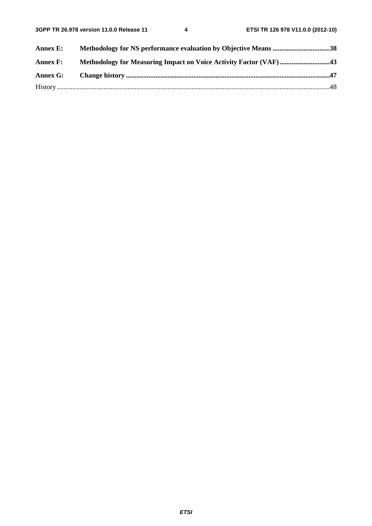| <b>Annex E:</b> | Methodology for NS performance evaluation by Objective Means 38   |  |
|-----------------|-------------------------------------------------------------------|--|
| <b>Annex F:</b> | Methodology for Measuring Impact on Voice Activity Factor (VAF)43 |  |
| Annex G:        |                                                                   |  |
|                 |                                                                   |  |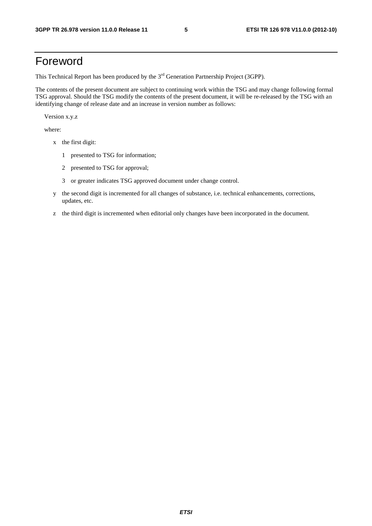### Foreword

This Technical Report has been produced by the  $3<sup>rd</sup>$  Generation Partnership Project (3GPP).

The contents of the present document are subject to continuing work within the TSG and may change following formal TSG approval. Should the TSG modify the contents of the present document, it will be re-released by the TSG with an identifying change of release date and an increase in version number as follows:

Version x.y.z

where:

- x the first digit:
	- 1 presented to TSG for information;
	- 2 presented to TSG for approval;
	- 3 or greater indicates TSG approved document under change control.
- y the second digit is incremented for all changes of substance, i.e. technical enhancements, corrections, updates, etc.
- z the third digit is incremented when editorial only changes have been incorporated in the document.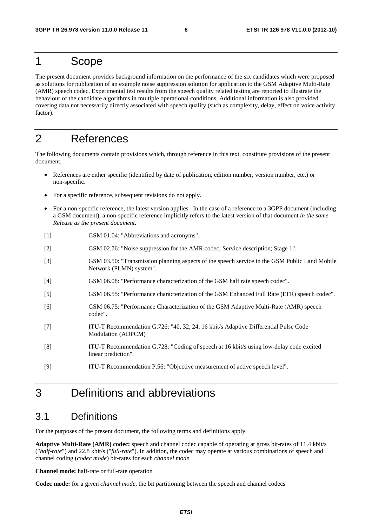### 1 Scope

The present document provides background information on the performance of the six candidates which were proposed as solutions for publication of an example noise suppression solution for application to the GSM Adaptive Multi-Rate (AMR) speech codec. Experimental test results from the speech quality related testing are reported to illustrate the behaviour of the candidate algorithms in multiple operational conditions. Additional information is also provided covering data not necessarily directly associated with speech quality (such as complexity, delay, effect on voice activity factor).

### 2 References

The following documents contain provisions which, through reference in this text, constitute provisions of the present document.

- References are either specific (identified by date of publication, edition number, version number, etc.) or non-specific.
- For a specific reference, subsequent revisions do not apply.
- For a non-specific reference, the latest version applies. In the case of a reference to a 3GPP document (including a GSM document), a non-specific reference implicitly refers to the latest version of that document *in the same Release as the present document*.
- [1] GSM 01.04: "Abbreviations and acronyms".
- [2] GSM 02.76: "Noise suppression for the AMR codec; Service description; Stage 1".
- [3] GSM 03.50: "Transmission planning aspects of the speech service in the GSM Public Land Mobile Network (PLMN) system".
- [4] GSM 06.08: "Performance characterization of the GSM half rate speech codec".
- [5] GSM 06.55: "Performance characterization of the GSM Enhanced Full Rate (EFR) speech codec".
- [6] GSM 06.75: "Performance Characterization of the GSM Adaptive Multi-Rate (AMR) speech codec".
- [7] ITU-T Recommendation G.726: "40, 32, 24, 16 kbit/s Adaptive Differential Pulse Code Modulation (ADPCM)
- [8] ITU-T Recommendation G.728: "Coding of speech at 16 kbit/s using low-delay code excited linear prediction".
- [9] ITU-T Recommendation P.56: "Objective measurement of active speech level".

### 3 Definitions and abbreviations

### 3.1 Definitions

For the purposes of the present document, the following terms and definitions apply.

**Adaptive Multi-Rate (AMR) codec:** speech and channel codec capable of operating at gross bit-rates of 11.4 kbit/s ("*half-rate*") and 22.8 kbit/s ("*full-rate*"). In addition, the codec may operate at various combinations of speech and channel coding (*codec mode*) bit-rates for each *channel mode*

**Channel mode:** half-rate or full-rate operation

**Codec mode:** for a given *channel mode*, the bit partitioning between the speech and channel codecs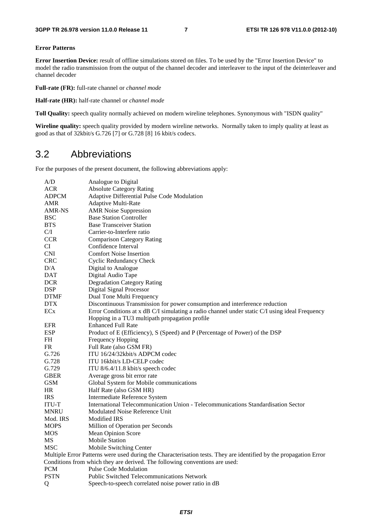#### **Error Patterns**

**Error Insertion Device:** result of offline simulations stored on files. To be used by the "Error Insertion Device" to model the radio transmission from the output of the channel decoder and interleaver to the input of the deinterleaver and channel decoder

**Full-rate (FR):** full-rate channel or *channel mode*

**Half-rate (HR):** half-rate channel or *channel mode*

**Toll Quality:** speech quality normally achieved on modern wireline telephones. Synonymous with "ISDN quality"

Wireline quality: speech quality provided by modern wireline networks. Normally taken to imply quality at least as good as that of 32kbit/s G.726 [7] or G.728 [8] 16 kbit/s codecs.

### 3.2 Abbreviations

For the purposes of the present document, the following abbreviations apply:

| A/D             | Analogue to Digital                                                                                               |
|-----------------|-------------------------------------------------------------------------------------------------------------------|
| <b>ACR</b>      | <b>Absolute Category Rating</b>                                                                                   |
| <b>ADPCM</b>    | Adaptive Differential Pulse Code Modulation                                                                       |
| <b>AMR</b>      | <b>Adaptive Multi-Rate</b>                                                                                        |
| AMR-NS          | <b>AMR</b> Noise Suppression                                                                                      |
| <b>BSC</b>      | <b>Base Station Controller</b>                                                                                    |
| <b>BTS</b>      | <b>Base Transceiver Station</b>                                                                                   |
| C/I             | Carrier-to-Interfere ratio                                                                                        |
| <b>CCR</b>      | <b>Comparison Category Rating</b>                                                                                 |
| CI              | Confidence Interval                                                                                               |
| <b>CNI</b>      | <b>Comfort Noise Insertion</b>                                                                                    |
| <b>CRC</b>      | <b>Cyclic Redundancy Check</b>                                                                                    |
| D/A             | Digital to Analogue                                                                                               |
| <b>DAT</b>      | Digital Audio Tape                                                                                                |
| <b>DCR</b>      | <b>Degradation Category Rating</b>                                                                                |
| <b>DSP</b>      | <b>Digital Signal Processor</b>                                                                                   |
| <b>DTMF</b>     | Dual Tone Multi Frequency                                                                                         |
| <b>DTX</b>      | Discontinuous Transmission for power consumption and interference reduction                                       |
| EC <sub>x</sub> | Error Conditions at x dB C/I simulating a radio channel under static C/I using ideal Frequency                    |
|                 | Hopping in a TU3 multipath propagation profile                                                                    |
| <b>EFR</b>      | <b>Enhanced Full Rate</b>                                                                                         |
| <b>ESP</b>      | Product of E (Efficiency), S (Speed) and P (Percentage of Power) of the DSP                                       |
| FH              | Frequency Hopping                                                                                                 |
| FR.             | Full Rate (also GSM FR)                                                                                           |
| G.726           | ITU 16/24/32kbit/s ADPCM codec                                                                                    |
| G.728           | ITU 16kbit/s LD-CELP codec                                                                                        |
| G.729           | ITU 8/6.4/11.8 kbit/s speech codec                                                                                |
| <b>GBER</b>     | Average gross bit error rate                                                                                      |
| <b>GSM</b>      | Global System for Mobile communications                                                                           |
| HR              | Half Rate (also GSM HR)                                                                                           |
| <b>IRS</b>      | Intermediate Reference System                                                                                     |
| ITU-T           | International Telecommunication Union - Telecommunications Standardisation Sector                                 |
| <b>MNRU</b>     | Modulated Noise Reference Unit                                                                                    |
| Mod. IRS        | <b>Modified IRS</b>                                                                                               |
| <b>MOPS</b>     | Million of Operation per Seconds                                                                                  |
| MOS             | Mean Opinion Score                                                                                                |
| MS              | <b>Mobile Station</b>                                                                                             |
| <b>MSC</b>      | Mobile Switching Center                                                                                           |
|                 | Multiple Error Patterns were used during the Characterisation tests. They are identified by the propagation Error |
|                 | Conditions from which they are derived. The following conventions are used:                                       |
| <b>PCM</b>      | Pulse Code Modulation                                                                                             |
| <b>PSTN</b>     | <b>Public Switched Telecommunications Network</b>                                                                 |
| Q               | Speech-to-speech correlated noise power ratio in dB                                                               |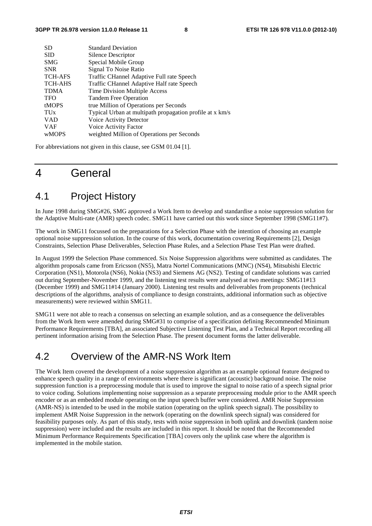| <b>SD</b>             | <b>Standard Deviation</b>                                |
|-----------------------|----------------------------------------------------------|
| <b>SID</b>            | Silence Descriptor                                       |
| <b>SMG</b>            | Special Mobile Group                                     |
| <b>SNR</b>            | Signal To Noise Ratio                                    |
| <b>TCH-AFS</b>        | Traffic CHannel Adaptive Full rate Speech                |
| <b>TCH-AHS</b>        | Traffic CHannel Adaptive Half rate Speech                |
| <b>TDMA</b>           | Time Division Multiple Access                            |
| <b>TFO</b>            | Tandem Free Operation                                    |
| <b>tMOPS</b>          | true Million of Operations per Seconds                   |
| <b>TU<sub>x</sub></b> | Typical Urban at multipath propagation profile at x km/s |
| <b>VAD</b>            | Voice Activity Detector                                  |
| <b>VAF</b>            | Voice Activity Factor                                    |
| <b>wMOPS</b>          | weighted Million of Operations per Seconds               |
|                       |                                                          |

For abbreviations not given in this clause, see GSM 01.04 [1].

### 4 General

### 4.1 Project History

In June 1998 during SMG#26, SMG approved a Work Item to develop and standardise a noise suppression solution for the Adaptive Multi-rate (AMR) speech codec. SMG11 have carried out this work since September 1998 (SMG11#7).

The work in SMG11 focussed on the preparations for a Selection Phase with the intention of choosing an example optional noise suppression solution. In the course of this work, documentation covering Requirements [2], Design Constraints, Selection Phase Deliverables, Selection Phase Rules, and a Selection Phase Test Plan were drafted.

In August 1999 the Selection Phase commenced. Six Noise Suppression algorithms were submitted as candidates. The algorithm proposals came from Ericsson (NS5), Matra Nortel Communications (MNC) (NS4), Mitsubishi Electric Corporation (NS1), Motorola (NS6), Nokia (NS3) and Siemens AG (NS2). Testing of candidate solutions was carried out during September-November 1999, and the listening test results were analysed at two meetings: SMG11#13 (December 1999) and SMG11#14 (January 2000). Listening test results and deliverables from proponents (technical descriptions of the algorithms, analysis of compliance to design constraints, additional information such as objective measurements) were reviewed within SMG11.

SMG11 were not able to reach a consensus on selecting an example solution, and as a consequence the deliverables from the Work Item were amended during SMG#31 to comprise of a specification defining Recommended Minimum Performance Requirements [TBA], an associated Subjective Listening Test Plan, and a Technical Report recording all pertinent information arising from the Selection Phase. The present document forms the latter deliverable.

### 4.2 Overview of the AMR-NS Work Item

The Work Item covered the development of a noise suppression algorithm as an example optional feature designed to enhance speech quality in a range of environments where there is significant (acoustic) background noise. The noise suppression function is a preprocessing module that is used to improve the signal to noise ratio of a speech signal prior to voice coding. Solutions implementing noise suppression as a separate preprocessing module prior to the AMR speech encoder or as an embedded module operating on the input speech buffer were considered. AMR Noise Suppression (AMR-NS) is intended to be used in the mobile station (operating on the uplink speech signal). The possibility to implement AMR Noise Suppression in the network (operating on the downlink speech signal) was considered for feasibility purposes only. As part of this study, tests with noise suppression in both uplink and downlink (tandem noise suppression) were included and the results are included in this report. It should be noted that the Recommended Minimum Performance Requirements Specification [TBA] covers only the uplink case where the algorithm is implemented in the mobile station.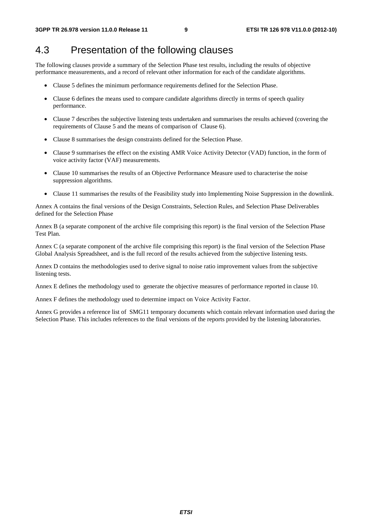### 4.3 Presentation of the following clauses

The following clauses provide a summary of the Selection Phase test results, including the results of objective performance measurements, and a record of relevant other information for each of the candidate algorithms.

- Clause 5 defines the minimum performance requirements defined for the Selection Phase.
- Clause 6 defines the means used to compare candidate algorithms directly in terms of speech quality performance.
- Clause 7 describes the subjective listening tests undertaken and summarises the results achieved (covering the requirements of Clause 5 and the means of comparison of Clause 6).
- Clause 8 summarises the design constraints defined for the Selection Phase.
- Clause 9 summarises the effect on the existing AMR Voice Activity Detector (VAD) function, in the form of voice activity factor (VAF) measurements.
- Clause 10 summarises the results of an Objective Performance Measure used to characterise the noise suppression algorithms.
- Clause 11 summarises the results of the Feasibility study into Implementing Noise Suppression in the downlink.

Annex A contains the final versions of the Design Constraints, Selection Rules, and Selection Phase Deliverables defined for the Selection Phase

Annex B (a separate component of the archive file comprising this report) is the final version of the Selection Phase Test Plan.

Annex C (a separate component of the archive file comprising this report) is the final version of the Selection Phase Global Analysis Spreadsheet, and is the full record of the results achieved from the subjective listening tests.

Annex D contains the methodologies used to derive signal to noise ratio improvement values from the subjective listening tests.

Annex E defines the methodology used to generate the objective measures of performance reported in clause 10.

Annex F defines the methodology used to determine impact on Voice Activity Factor.

Annex G provides a reference list of SMG11 temporary documents which contain relevant information used during the Selection Phase. This includes references to the final versions of the reports provided by the listening laboratories.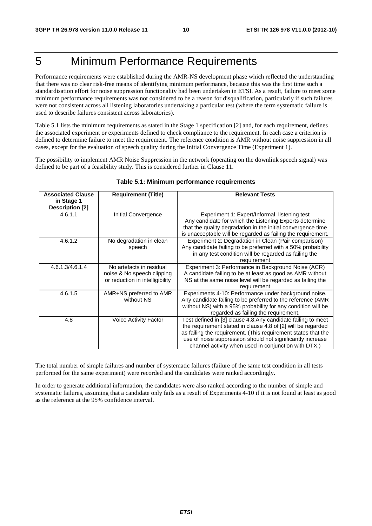### 5 Minimum Performance Requirements

Performance requirements were established during the AMR-NS development phase which reflected the understanding that there was no clear risk-free means of identifying minimum performance, because this was the first time such a standardisation effort for noise suppression functionality had been undertaken in ETSI. As a result, failure to meet some minimum performance requirements was not considered to be a reason for disqualification, particularly if such failures were not consistent across all listening laboratories undertaking a particular test (where the term systematic failure is used to describe failures consistent across laboratories).

Table 5.1 lists the minimum requirements as stated in the Stage 1 specification [2] and, for each requirement, defines the associated experiment or experiments defined to check compliance to the requirement. In each case a criterion is defined to determine failure to meet the requirement. The reference condition is AMR without noise suppression in all cases, except for the evaluation of speech quality during the Initial Convergence Time (Experiment 1).

The possibility to implement AMR Noise Suppression in the network (operating on the downlink speech signal) was defined to be part of a feasibility study. This is considered further in Clause 11.

| <b>Associated Clause</b><br>in Stage 1<br><b>Description [2]</b> | <b>Requirement (Title)</b>                                                                | <b>Relevant Tests</b>                                                                                                                                                                                                                                                                                               |
|------------------------------------------------------------------|-------------------------------------------------------------------------------------------|---------------------------------------------------------------------------------------------------------------------------------------------------------------------------------------------------------------------------------------------------------------------------------------------------------------------|
| 4.6.1.1                                                          | Initial Convergence                                                                       | Experiment 1: Expert/Informal listening test<br>Any candidate for which the Listening Experts determine<br>that the quality degradation in the initial convergence time<br>is unacceptable will be regarded as failing the requirement.                                                                             |
| 4.6.1.2                                                          | No degradation in clean<br>speech                                                         | Experiment 2: Degradation in Clean (Pair comparison)<br>Any candidate failing to be preferred with a 50% probability<br>in any test condition will be regarded as failing the<br>requirement                                                                                                                        |
| 4.6.1.3/4.6.1.4                                                  | No artefacts in residual<br>noise & No speech clipping<br>or reduction in intelligibility | Experiment 3: Performance in Background Noise (ACR)<br>A candidate failing to be at least as good as AMR without<br>NS at the same noise level will be regarded as failing the<br>requirement                                                                                                                       |
| 4.6.1.5                                                          | AMR+NS preferred to AMR<br>without NS                                                     | Experiments 4-10: Performance under background noise.<br>Any candidate failing to be preferred to the reference (AMR<br>without NS) with a 95% probability for any condition will be<br>regarded as failing the requirement.                                                                                        |
| 4.8                                                              | Voice Activity Factor                                                                     | Test defined in [3] clause 4.8:Any candidate failing to meet<br>the requirement stated in clause 4.8 of [2] will be regarded<br>as failing the requirement. (This requirement states that the<br>use of noise suppression should not significantly increase<br>channel activity when used in conjunction with DTX.) |

#### **Table 5.1: Minimum performance requirements**

The total number of simple failures and number of systematic failures (failure of the same test condition in all tests performed for the same experiment) were recorded and the candidates were ranked accordingly.

In order to generate additional information, the candidates were also ranked according to the number of simple and systematic failures, assuming that a candidate only fails as a result of Experiments 4-10 if it is not found at least as good as the reference at the 95% confidence interval.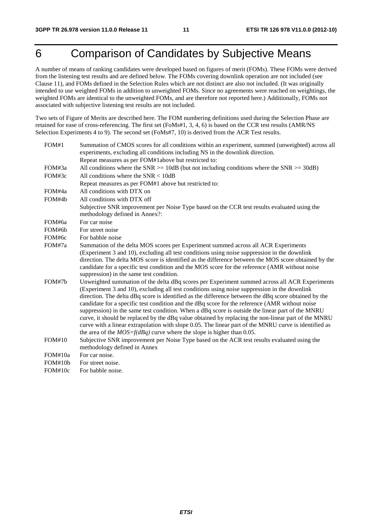### 6 Comparison of Candidates by Subjective Means

A number of means of ranking candidates were developed based on figures of merit (FOMs). These FOMs were derived from the listening test results and are defined below. The FOMs covering downlink operation are not included (see Clause 11), and FOMs defined in the Selection Rules which are not distinct are also not included. (It was originally intended to use weighted FOMs in addition to unweighted FOMs. Since no agreements were reached on weightings, the weighted FOMs are identical to the unweighted FOMs, and are therefore not reported here.) Additionally, FOMs not associated with subjective listening test results are not included.

Two sets of Figure of Merits are described here. The FOM numbering definitions used during the Selection Phase are retained for ease of cross-referencing. The first set (FoMs#1, 3, 4, 6) is based on the CCR test results (AMR/NS Selection Experiments 4 to 9). The second set (FoMs#7, 10) is derived from the ACR Test results.

| FOM#1         | Summation of CMOS scores for all conditions within an experiment, summed (unweighted) across all                                                                                                                                                                                                                                                                                                                                                                                                                                                                                                                                                                                                                                                                                                       |
|---------------|--------------------------------------------------------------------------------------------------------------------------------------------------------------------------------------------------------------------------------------------------------------------------------------------------------------------------------------------------------------------------------------------------------------------------------------------------------------------------------------------------------------------------------------------------------------------------------------------------------------------------------------------------------------------------------------------------------------------------------------------------------------------------------------------------------|
|               | experiments, excluding all conditions including NS in the downlink direction.                                                                                                                                                                                                                                                                                                                                                                                                                                                                                                                                                                                                                                                                                                                          |
|               | Repeat measures as per FOM#1above but restricted to:                                                                                                                                                                                                                                                                                                                                                                                                                                                                                                                                                                                                                                                                                                                                                   |
| FOM#3a        | All conditions where the SNR $>= 10dB$ (but not including conditions where the SNR $>= 30dB$ )                                                                                                                                                                                                                                                                                                                                                                                                                                                                                                                                                                                                                                                                                                         |
| FOM#3c        | All conditions where the $SNR < 10dB$                                                                                                                                                                                                                                                                                                                                                                                                                                                                                                                                                                                                                                                                                                                                                                  |
|               | Repeat measures as per FOM#1 above but restricted to:                                                                                                                                                                                                                                                                                                                                                                                                                                                                                                                                                                                                                                                                                                                                                  |
| FOM#4a        | All conditions with DTX on                                                                                                                                                                                                                                                                                                                                                                                                                                                                                                                                                                                                                                                                                                                                                                             |
| FOM#4b        | All conditions with DTX off                                                                                                                                                                                                                                                                                                                                                                                                                                                                                                                                                                                                                                                                                                                                                                            |
|               | Subjective SNR improvement per Noise Type based on the CCR test results evaluated using the<br>methodology defined in Annex?:                                                                                                                                                                                                                                                                                                                                                                                                                                                                                                                                                                                                                                                                          |
| FOM#6a        | For car noise                                                                                                                                                                                                                                                                                                                                                                                                                                                                                                                                                                                                                                                                                                                                                                                          |
| FOM#6b        | For street noise                                                                                                                                                                                                                                                                                                                                                                                                                                                                                                                                                                                                                                                                                                                                                                                       |
| FOM#6c        | For babble noise                                                                                                                                                                                                                                                                                                                                                                                                                                                                                                                                                                                                                                                                                                                                                                                       |
| FOM#7a        | Summation of the delta MOS scores per Experiment summed across all ACR Experiments<br>(Experiment 3 and 10), excluding all test conditions using noise suppression in the downlink<br>direction. The delta MOS score is identified as the difference between the MOS score obtained by the<br>candidate for a specific test condition and the MOS score for the reference (AMR without noise<br>suppression) in the same test condition.                                                                                                                                                                                                                                                                                                                                                               |
| FOM#7h        | Unweighted summation of the delta dBq scores per Experiment summed across all ACR Experiments<br>(Experiment 3 and 10), excluding all test conditions using noise suppression in the downlink<br>direction. The delta dBq score is identified as the difference between the dBq score obtained by the<br>candidate for a specific test condition and the dBq score for the reference (AMR without noise<br>suppression) in the same test condition. When a dBq score is outside the linear part of the MNRU<br>curve, it should be replaced by the dBq value obtained by replacing the non-linear part of the MNRU<br>curve with a linear extrapolation with slope 0.05. The linear part of the MNRU curve is identified as<br>the area of the $MOS=f(dBq)$ curve where the slope is higher than 0.05. |
| <b>FOM#10</b> | Subjective SNR improvement per Noise Type based on the ACR test results evaluated using the<br>methodology defined in Annex                                                                                                                                                                                                                                                                                                                                                                                                                                                                                                                                                                                                                                                                            |
| FOM#10a       | For car noise.                                                                                                                                                                                                                                                                                                                                                                                                                                                                                                                                                                                                                                                                                                                                                                                         |
| FOM#10b       | For street noise.                                                                                                                                                                                                                                                                                                                                                                                                                                                                                                                                                                                                                                                                                                                                                                                      |
| FOM#10c       | For babble noise.                                                                                                                                                                                                                                                                                                                                                                                                                                                                                                                                                                                                                                                                                                                                                                                      |
|               |                                                                                                                                                                                                                                                                                                                                                                                                                                                                                                                                                                                                                                                                                                                                                                                                        |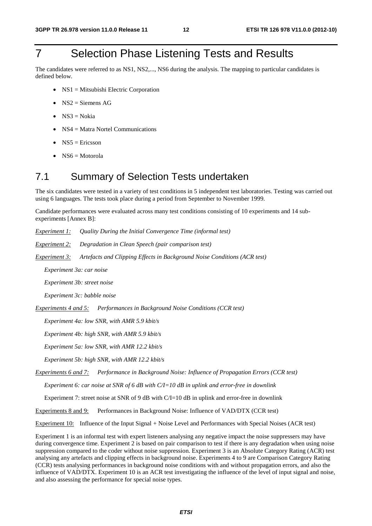### 7 Selection Phase Listening Tests and Results

The candidates were referred to as NS1, NS2,..., NS6 during the analysis. The mapping to particular candidates is defined below.

- NS1 = Mitsubishi Electric Corporation
- $NS2$  = Siemens AG
- $NS3 = Nokia$
- NS4 = Matra Nortel Communications
- $NS5 =$  Ericsson
- $NS6 = Motorola$

### 7.1 Summary of Selection Tests undertaken

The six candidates were tested in a variety of test conditions in 5 independent test laboratories. Testing was carried out using 6 languages. The tests took place during a period from September to November 1999.

Candidate performances were evaluated across many test conditions consisting of 10 experiments and 14 subexperiments [Annex B]:

*Experiment 1: Quality During the Initial Convergence Time (informal test)* 

*Experiment 2: Degradation in Clean Speech (pair comparison test)* 

*Experiment 3: Artefacts and Clipping Effects in Background Noise Conditions (ACR test)* 

 *Experiment 3a: car noise* 

 *Experiment 3b: street noise* 

 *Experiment 3c: babble noise* 

*Experiments 4 and 5: Performances in Background Noise Conditions (CCR test)* 

 *Experiment 4a: low SNR, with AMR 5.9 kbit/s* 

 *Experiment 4b: high SNR, with AMR 5.9 kbit/s* 

 *Experiment 5a: low SNR, with AMR 12.2 kbit/s* 

 *Experiment 5b: high SNR, with AMR 12.2 kbit/s* 

*Experiments 6 and 7: Performance in Background Noise: Influence of Propagation Errors (CCR test)* 

 *Experiment 6: car noise at SNR of 6 dB with C/I=10 dB in uplink and error-free in downlink* 

Experiment 7: street noise at SNR of 9 dB with C/I=10 dB in uplink and error-free in downlink

Experiments 8 and 9: Performances in Background Noise: Influence of VAD/DTX (CCR test)

Experiment 10: Influence of the Input Signal + Noise Level and Performances with Special Noises (ACR test)

Experiment 1 is an informal test with expert listeners analysing any negative impact the noise suppressers may have during convergence time. Experiment 2 is based on pair comparison to test if there is any degradation when using noise suppression compared to the coder without noise suppression. Experiment 3 is an Absolute Category Rating (ACR) test analysing any artefacts and clipping effects in background noise. Experiments 4 to 9 are Comparison Category Rating (CCR) tests analysing performances in background noise conditions with and without propagation errors, and also the influence of VAD/DTX. Experiment 10 is an ACR test investigating the influence of the level of input signal and noise, and also assessing the performance for special noise types.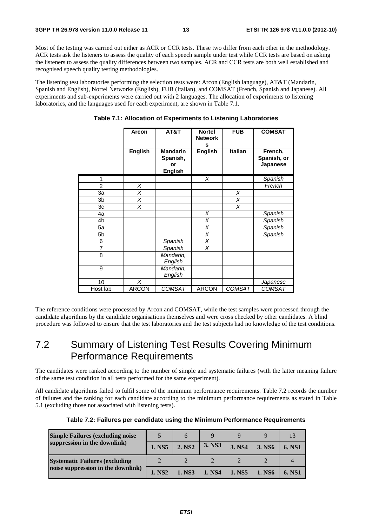Most of the testing was carried out either as ACR or CCR tests. These two differ from each other in the methodology. ACR tests ask the listeners to assess the quality of each speech sample under test while CCR tests are based on asking the listeners to assess the quality differences between two samples. ACR and CCR tests are both well established and recognised speech quality testing methodologies.

The listening test laboratories performing the selection tests were: Arcon (English language), AT&T (Mandarin, Spanish and English), Nortel Networks (English), FUB (Italian), and COMSAT (French, Spanish and Japanese). All experiments and sub-experiments were carried out with 2 languages. The allocation of experiments to listening laboratories, and the languages used for each experiment, are shown in Table 7.1.

|                | Arcon          | AT&T                                                | <b>Nortel</b><br><b>Network</b><br>s | <b>FUB</b>              | <b>COMSAT</b>                      |
|----------------|----------------|-----------------------------------------------------|--------------------------------------|-------------------------|------------------------------------|
|                | <b>English</b> | <b>Mandarin</b><br>Spanish,<br>or<br><b>English</b> | <b>English</b>                       | <b>Italian</b>          | French,<br>Spanish, or<br>Japanese |
| 1              |                |                                                     | X                                    |                         | Spanish                            |
| $\overline{2}$ | X              |                                                     |                                      |                         | French                             |
| 3a             | Χ              |                                                     |                                      | Χ                       |                                    |
| 3b             | X              |                                                     |                                      | $\overline{\mathsf{x}}$ |                                    |
| 3c             | X              |                                                     |                                      | X                       |                                    |
| 4a             |                |                                                     | X                                    |                         | Spanish                            |
| 4b             |                |                                                     | X                                    |                         | Spanish                            |
| 5a             |                |                                                     | X                                    |                         | Spanish                            |
| 5b             |                |                                                     | X                                    |                         | Spanish                            |
| 6              |                | Spanish                                             | X                                    |                         |                                    |
| 7              |                | Spanish                                             | X                                    |                         |                                    |
| 8              |                | Mandarin,<br>English                                |                                      |                         |                                    |
| 9              |                | Mandarin,<br>English                                |                                      |                         |                                    |
| 10             | X              |                                                     |                                      |                         | Japanese                           |
| Host lab       | <b>ARCON</b>   | <b>COMSAT</b>                                       | <b>ARCON</b>                         | <b>COMSAT</b>           | <b>COMSAT</b>                      |

#### **Table 7.1: Allocation of Experiments to Listening Laboratories**

The reference conditions were processed by Arcon and COMSAT, while the test samples were processed through the candidate algorithms by the candidate organisations themselves and were cross checked by other candidates. A blind procedure was followed to ensure that the test laboratories and the test subjects had no knowledge of the test conditions.

### 7.2 Summary of Listening Test Results Covering Minimum Performance Requirements

The candidates were ranked according to the number of simple and systematic failures (with the latter meaning failure of the same test condition in all tests performed for the same experiment).

All candidate algorithms failed to fulfil some of the minimum performance requirements. Table 7.2 records the number of failures and the ranking for each candidate according to the minimum performance requirements as stated in Table 5.1 (excluding those not associated with listening tests).

| <b>Simple Failures (excluding noise)</b> |                    |                    |        |        |        |        |
|------------------------------------------|--------------------|--------------------|--------|--------|--------|--------|
| suppression in the downlink)             | 1. NS5             | 2. NS <sub>2</sub> | 3. NS3 | 3. NS4 | 3. NS6 | 6. NS1 |
| <b>Systematic Failures (excluding</b>    |                    |                    |        |        |        |        |
| noise suppression in the downlink)       | 1. NS <sub>2</sub> | 1. NS3             | 1. NS4 | 1. NS5 | 1. NS6 | 6. NS1 |

|  |  |  | Table 7.2: Failures per candidate using the Minimum Performance Requirements |
|--|--|--|------------------------------------------------------------------------------|
|--|--|--|------------------------------------------------------------------------------|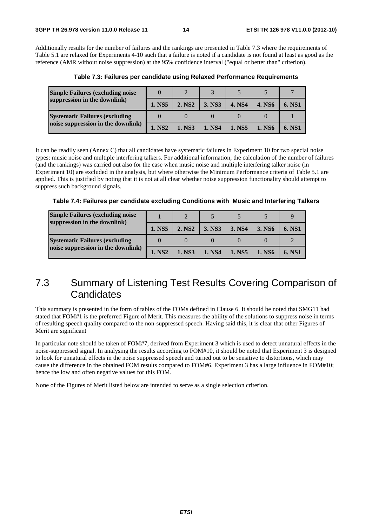Additionally results for the number of failures and the rankings are presented in Table 7.3 where the requirements of Table 5.1 are relaxed for Experiments 4-10 such that a failure is noted if a candidate is not found at least as good as the reference (AMR without noise suppression) at the 95% confidence interval ("equal or better than" criterion).

| <b>Simple Failures (excluding noise</b> |                    | $\bigcap$          |        |        |               |               |
|-----------------------------------------|--------------------|--------------------|--------|--------|---------------|---------------|
| suppression in the downlink)            | 1. NS5             | 2. NS <sub>2</sub> | 3. NS3 | 4. NS4 | <b>4. NS6</b> | 6. NS1        |
| <b>Systematic Failures (excluding)</b>  |                    |                    |        |        |               |               |
| noise suppression in the downlink)      | 1. NS <sub>2</sub> | 1. NS3             | 1. NS4 | 1. NS5 | 1. NS6        | <b>6. NS1</b> |

**Table 7.3: Failures per candidate using Relaxed Performance Requirements** 

It can be readily seen (Annex C) that all candidates have systematic failures in Experiment 10 for two special noise types: music noise and multiple interfering talkers. For additional information, the calculation of the number of failures (and the rankings) was carried out also for the case when music noise and multiple interfering talker noise (in Experiment 10) are excluded in the analysis, but where otherwise the Minimum Performance criteria of Table 5.1 are applied. This is justified by noting that it is not at all clear whether noise suppression functionality should attempt to suppress such background signals.

**Table 7.4: Failures per candidate excluding Conditions with Music and Interfering Talkers** 

| <b>Simple Failures (excluding noise)</b><br>suppression in the downlink) |                    |                    |        |        |        |        |
|--------------------------------------------------------------------------|--------------------|--------------------|--------|--------|--------|--------|
|                                                                          | 1. NS5             | 2. NS <sub>2</sub> | 3. NS3 | 3. NS4 | 3. NS6 | 6. NS1 |
| <b>Systematic Failures (excluding</b>                                    |                    |                    |        |        |        |        |
| noise suppression in the downlink)                                       | 1. NS <sub>2</sub> | 1. NS3             | 1. NS4 | 1. NS5 | 1. NS6 | 6. NS1 |

### 7.3 Summary of Listening Test Results Covering Comparison of **Candidates**

This summary is presented in the form of tables of the FOMs defined in Clause 6. It should be noted that SMG11 had stated that FOM#1 is the preferred Figure of Merit. This measures the ability of the solutions to suppress noise in terms of resulting speech quality compared to the non-suppressed speech. Having said this, it is clear that other Figures of Merit are significant

In particular note should be taken of FOM#7, derived from Experiment 3 which is used to detect unnatural effects in the noise-suppressed signal. In analysing the results according to FOM#10, it should be noted that Experiment 3 is designed to look for unnatural effects in the noise suppressed speech and turned out to be sensitive to distortions, which may cause the difference in the obtained FOM results compared to FOM#6. Experiment 3 has a large influence in FOM#10; hence the low and often negative values for this FOM.

None of the Figures of Merit listed below are intended to serve as a single selection criterion.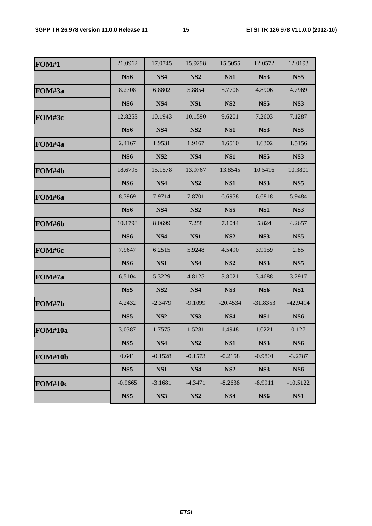| <b>FOM#1</b> | 21.0962         | 17.0745         | 15.9298         | 15.5055         | 12.0572         | 12.0193         |
|--------------|-----------------|-----------------|-----------------|-----------------|-----------------|-----------------|
|              | <b>NS6</b>      | NS4             | NS <sub>2</sub> | NS1             | NS3             | NS <sub>5</sub> |
| FOM#3a       | 8.2708          | 6.8802          | 5.8854          | 5.7708          | 4.8906          | 4.7969          |
|              | NS <sub>6</sub> | NS4             | NS1             | NS <sub>2</sub> | NS <sub>5</sub> | NS3             |
| FOM#3c       | 12.8253         | 10.1943         | 10.1590         | 9.6201          | 7.2603          | 7.1287          |
|              | <b>NS6</b>      | NS4             | NS <sub>2</sub> | NS1             | NS3             | NS <sub>5</sub> |
| FOM#4a       | 2.4167          | 1.9531          | 1.9167          | 1.6510          | 1.6302          | 1.5156          |
|              | NS <sub>6</sub> | NS <sub>2</sub> | NS4             | NS1             | NS <sub>5</sub> | NS3             |
| FOM#4b       | 18.6795         | 15.1578         | 13.9767         | 13.8545         | 10.5416         | 10.3801         |
|              | <b>NS6</b>      | NS4             | NS <sub>2</sub> | NS1             | NS3             | NS <sub>5</sub> |
| FOM#6a       | 8.3969          | 7.9714          | 7.8701          | 6.6958          | 6.6818          | 5.9484          |
|              | <b>NS6</b>      | NS4             | NS <sub>2</sub> | NS <sub>5</sub> | NS1             | NS3             |
| FOM#6b       | 10.1798         | 8.0699          | 7.258           | 7.1044          | 5.824           | 4.2657          |
|              | NS <sub>6</sub> | NS4             | NS1             | NS <sub>2</sub> | NS3             | NS <sub>5</sub> |
| FOM#6c       | 7.9647          | 6.2515          | 5.9248          | 4.5490          | 3.9159          | 2.85            |
|              | <b>NS6</b>      | NS1             | NS4             | NS <sub>2</sub> | NS3             | NS <sub>5</sub> |
| FOM#7a       | 6.5104          | 5.3229          | 4.8125          | 3.8021          | 3.4688          | 3.2917          |
|              | NS <sub>5</sub> | NS <sub>2</sub> | NS4             | NS3             | NS <sub>6</sub> | NS1             |
| FOM#7b       | 4.2432          | $-2.3479$       | $-9.1099$       | $-20.4534$      | $-31.8353$      | $-42.9414$      |
|              | NS <sub>5</sub> | NS <sub>2</sub> | NS3             | NS4             | NS1             | <b>NS6</b>      |
| FOM#10a      | 3.0387          | 1.7575          | 1.5281          | 1.4948          | 1.0221          | 0.127           |
|              | NS <sub>5</sub> | NS4             | NS <sub>2</sub> | NS1             | NS3             | NS6             |
| FOM#10b      | 0.641           | $-0.1528$       | $-0.1573$       | $-0.2158$       | $-0.9801$       | $-3.2787$       |
|              | NS <sub>5</sub> | NS1             | NS4             | NS <sub>2</sub> | NS3             | <b>NS6</b>      |
| FOM#10c      | $-0.9665$       | $-3.1681$       | $-4.3471$       | $-8.2638$       | $-8.9911$       | $-10.5122$      |
|              | NS <sub>5</sub> | NS3             | NS <sub>2</sub> | NS4             | <b>NS6</b>      | NS1             |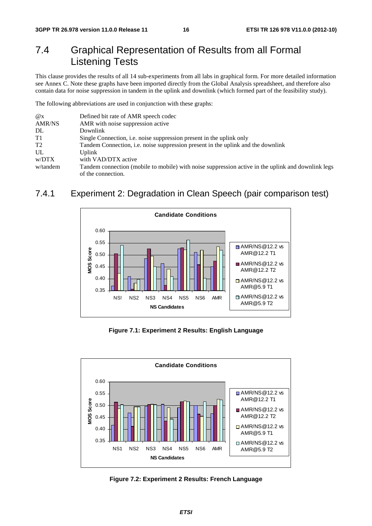### 7.4 Graphical Representation of Results from all Formal Listening Tests

This clause provides the results of all 14 sub-experiments from all labs in graphical form. For more detailed information see Annex C. Note these graphs have been imported directly from the Global Analysis spreadsheet, and therefore also contain data for noise suppression in tandem in the uplink and downlink (which formed part of the feasibility study).

The following abbreviations are used in conjunction with these graphs:

| $\omega_{\rm X}$ | Defined bit rate of AMR speech codec                                                               |
|------------------|----------------------------------------------------------------------------------------------------|
| <b>AMR/NS</b>    | AMR with noise suppression active                                                                  |
| DL               | Downlink                                                                                           |
| T1               | Single Connection, <i>i.e.</i> noise suppression present in the uplink only                        |
| T <sub>2</sub>   | Tandem Connection, <i>i.e.</i> noise suppression present in the uplink and the downlink            |
| UL               | Uplink                                                                                             |
| w/DTX            | with VAD/DTX active                                                                                |
| w/tandem         | Tandem connection (mobile to mobile) with noise suppression active in the uplink and downlink legs |
|                  | of the connection.                                                                                 |

#### 7.4.1 Experiment 2: Degradation in Clean Speech (pair comparison test)



**Figure 7.1: Experiment 2 Results: English Language** 



**Figure 7.2: Experiment 2 Results: French Language**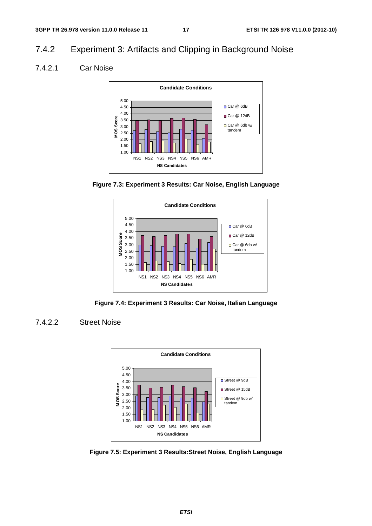### 7.4.2 Experiment 3: Artifacts and Clipping in Background Noise

#### 7.4.2.1 Car Noise







**Figure 7.4: Experiment 3 Results: Car Noise, Italian Language** 

#### 7.4.2.2 Street Noise



**Figure 7.5: Experiment 3 Results:Street Noise, English Language**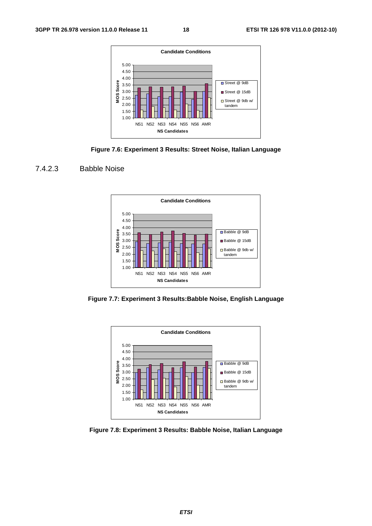







**Figure 7.7: Experiment 3 Results:Babble Noise, English Language** 



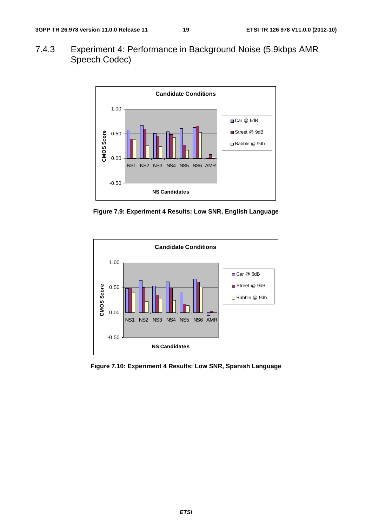7.4.3 Experiment 4: Performance in Background Noise (5.9kbps AMR Speech Codec)



**Figure 7.9: Experiment 4 Results: Low SNR, English Language** 



**Figure 7.10: Experiment 4 Results: Low SNR, Spanish Language**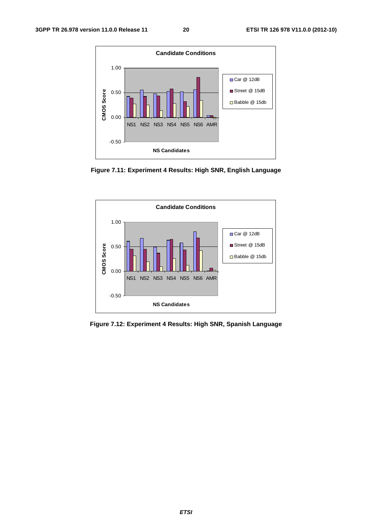

**Figure 7.11: Experiment 4 Results: High SNR, English Language** 



**Figure 7.12: Experiment 4 Results: High SNR, Spanish Language**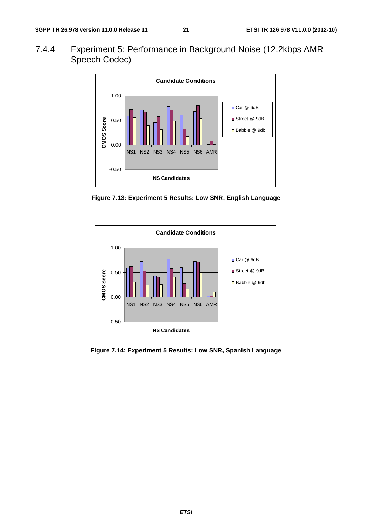7.4.4 Experiment 5: Performance in Background Noise (12.2kbps AMR Speech Codec)



**Figure 7.13: Experiment 5 Results: Low SNR, English Language** 



**Figure 7.14: Experiment 5 Results: Low SNR, Spanish Language**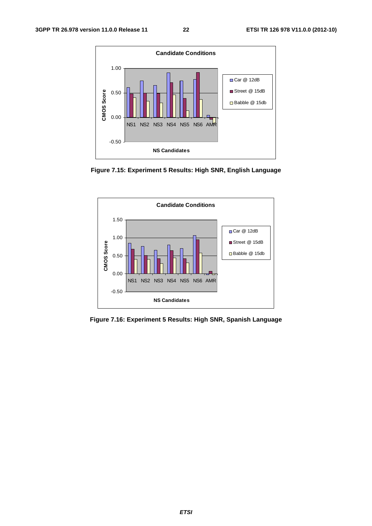

**Figure 7.15: Experiment 5 Results: High SNR, English Language** 



**Figure 7.16: Experiment 5 Results: High SNR, Spanish Language**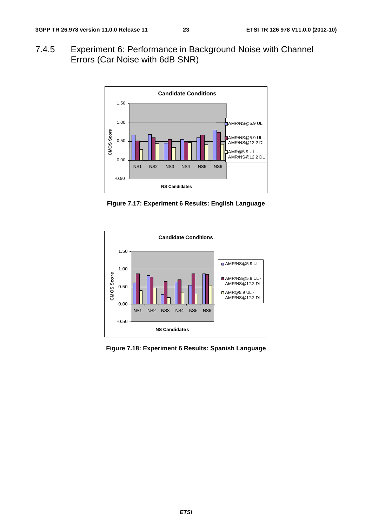7.4.5 Experiment 6: Performance in Background Noise with Channel Errors (Car Noise with 6dB SNR)



**Figure 7.17: Experiment 6 Results: English Language** 



**Figure 7.18: Experiment 6 Results: Spanish Language**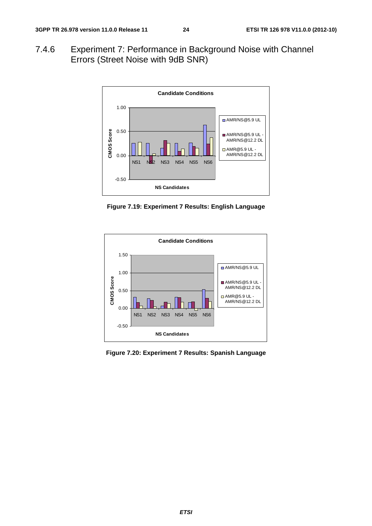7.4.6 Experiment 7: Performance in Background Noise with Channel Errors (Street Noise with 9dB SNR)



**Figure 7.19: Experiment 7 Results: English Language** 



**Figure 7.20: Experiment 7 Results: Spanish Language**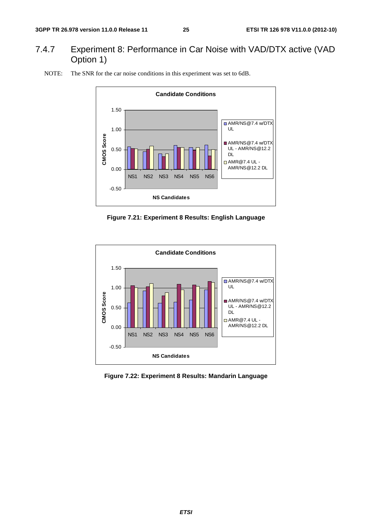### 7.4.7 Experiment 8: Performance in Car Noise with VAD/DTX active (VAD Option 1)



NOTE: The SNR for the car noise conditions in this experiment was set to 6dB.





**Figure 7.22: Experiment 8 Results: Mandarin Language**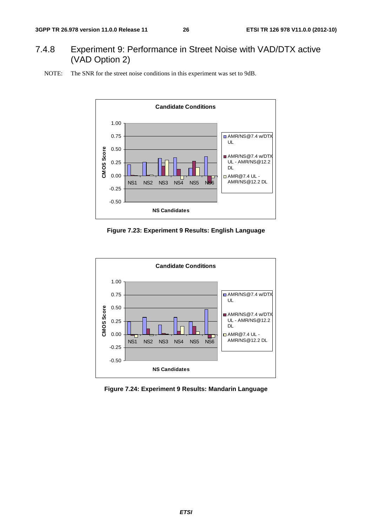### 7.4.8 Experiment 9: Performance in Street Noise with VAD/DTX active (VAD Option 2)





**Figure 7.23: Experiment 9 Results: English Language** 



**Figure 7.24: Experiment 9 Results: Mandarin Language**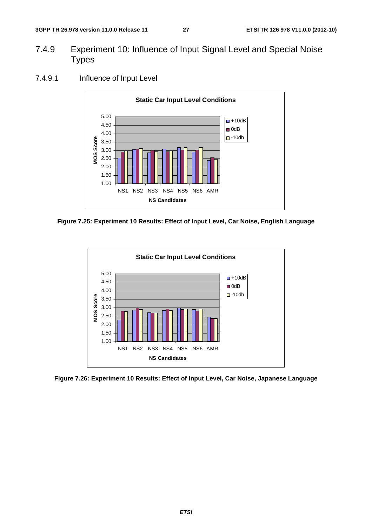- 7.4.9 Experiment 10: Influence of Input Signal Level and Special Noise **Types**
- 7.4.9.1 Influence of Input Level



**Figure 7.25: Experiment 10 Results: Effect of Input Level, Car Noise, English Language** 



**Figure 7.26: Experiment 10 Results: Effect of Input Level, Car Noise, Japanese Language**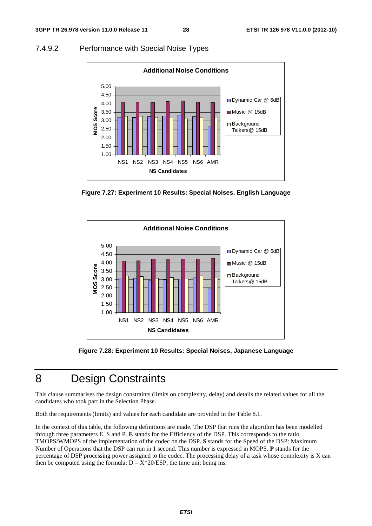#### 7.4.9.2 Performance with Special Noise Types



**Figure 7.27: Experiment 10 Results: Special Noises, English Language** 



**Figure 7.28: Experiment 10 Results: Special Noises, Japanese Language** 

### 8 Design Constraints

This clause summarises the design constraints (limits on complexity, delay) and details the related values for all the candidates who took part in the Selection Phase.

Both the requirements (limits) and values for each candidate are provided in the Table 8.1.

In the context of this table, the following definitions are made. The DSP that runs the algorithm has been modelled through three parameters E, S and P. **E** stands for the Efficiency of the DSP. This corresponds to the ratio TMOPS/WMOPS of the implementation of the codec on the DSP. **S** stands for the Speed of the DSP: Maximum Number of Operations that the DSP can run in 1 second. This number is expressed in MOPS. **P** stands for the percentage of DSP processing power assigned to the codec. The processing delay of a task whose complexity is X can then be computed using the formula:  $D = X*20/ESP$ , the time unit being ms.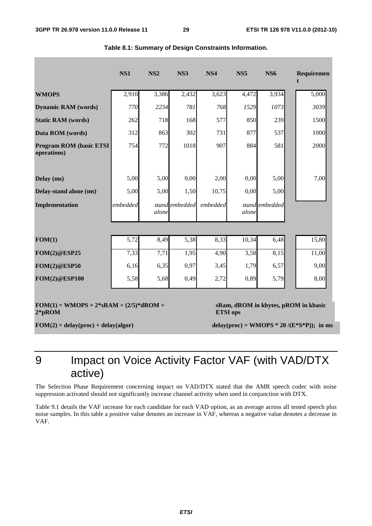|                                                        | <b>NS1</b> | <b>NS2</b> | NS3            | NS4      | <b>NS5</b>      | <b>NS6</b>     | Requiremen                                    |
|--------------------------------------------------------|------------|------------|----------------|----------|-----------------|----------------|-----------------------------------------------|
| <b>WMOPS</b>                                           | 2,910      | 3,386      | 2,432          | 3,623    | 4,472           | 3,934          | 5,000                                         |
| <b>Dynamic RAM</b> (words)                             | 770        | 2234       | 781            | 768      | 1529            | 1073           | 3039                                          |
| <b>Static RAM</b> (words)                              | 262        | 718        | 168            | 577      | 850             | 239            | 1500                                          |
| Data ROM (words)                                       | 312        | 863        | 302            | 731      | 877             | 537            | 1000                                          |
| <b>Program ROM (basic ETSI)</b><br>operations)         | 754        | 772        | 1018           | 907      | 884             | 581            | 2000                                          |
| Delay (ms)                                             | 5,00       | 5,00       | 0,00           | 2,00     | 0,00            | 5,00           | 7,00                                          |
| Delay-stand alone (ms)                                 | 5,00       | 5,00       | 1,50           | 10,75    | 0,00            | 5,00           |                                               |
| <b>Implementation</b>                                  | embedded   | alone      | stand embedded | embedded | alone           | stand embedded |                                               |
|                                                        |            |            |                |          |                 |                |                                               |
| FOM(1)                                                 | 5,72       | 8,49       | 5,38           | 8,33     | 10,34           | 6,48           | 15,80                                         |
| <b>FOM(2)@ESP25</b>                                    | 7,33       | 7,71       | 1,95           | 4,90     | 3,58            | 8,15           | 11,00                                         |
| <b>FOM(2)@ESP50</b>                                    | 6,16       | 6,35       | 0,97           | 3,45     | 1,79            | 6,57           | 9,00                                          |
| <b>FOM(2)@ESP100</b>                                   | 5,58       | 5,68       | 0,49           | 2,72     | 0,89            | 5,79           | 8,00                                          |
| $FOM(1) = WMOPS + 2*SRAM + (2/5)*dROM +$<br>$2 * pROM$ |            |            |                |          | <b>ETSI</b> ops |                | sRam, dROM in kbytes, pROM in kbasic          |
| $FOM(2) = delay(proc) + delay(algor)$                  |            |            |                |          |                 |                | delay(proc) = WMOPS * 20 /( $E$ *S*P)); in ms |

9 Impact on Voice Activity Factor VAF (with VAD/DTX active)

The Selection Phase Requirement concerning impact on VAD/DTX stated that the AMR speech codec with noise suppression activated should not significantly increase channel activity when used in conjunction with DTX.

Table 9.1 details the VAF increase for each candidate for each VAD option, as an average across all tested speech plus noise samples. In this table a positive value denotes an increase in VAF, whereas a negative value denotes a decrease in VAF.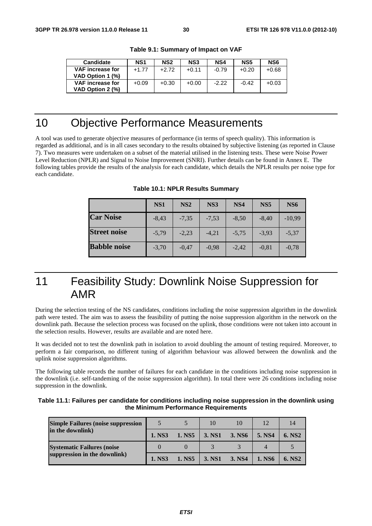| <b>Candidate</b>                            | NS <sub>1</sub> | NS <sub>2</sub> | NS <sub>3</sub> | NS4     | NS5     | NS <sub>6</sub> |
|---------------------------------------------|-----------------|-----------------|-----------------|---------|---------|-----------------|
| <b>VAF</b> increase for<br>VAD Option 1 (%) | $+1.77$         | $+2.72$         | $+0.11$         | $-0.79$ | $+0.20$ | $+0.68$         |
| <b>VAF</b> increase for<br>VAD Option 2 (%) | $+0.09$         | $+0.30$         | $+0.00$         | $-2.22$ | $-0.42$ | $+0.03$         |

**Table 9.1: Summary of Impact on VAF** 

### 10 Objective Performance Measurements

A tool was used to generate objective measures of performance (in terms of speech quality). This information is regarded as additional, and is in all cases secondary to the results obtained by subjective listening (as reported in Clause 7). Two measures were undertaken on a subset of the material utilised in the listening tests. These were Noise Power Level Reduction (NPLR) and Signal to Noise Improvement (SNRI). Further details can be found in Annex E. The following tables provide the results of the analysis for each candidate, which details the NPLR results per noise type for each candidate.

|                     | NS <sub>1</sub> | NS <sub>2</sub> | NS3     | NS <sub>4</sub> | NS <sub>5</sub> | NS <sub>6</sub> |
|---------------------|-----------------|-----------------|---------|-----------------|-----------------|-----------------|
| <b>Car Noise</b>    | $-8.43$         | $-7.35$         | $-7,53$ | $-8,50$         | $-8.40$         | $-10,99$        |
| <b>Street noise</b> | $-5.79$         | $-2.23$         | $-4.21$ | $-5.75$         | $-3.93$         | $-5.37$         |
| <b>Babble noise</b> | $-3.70$         | $-0.47$         | $-0.98$ | $-2.42$         | $-0,81$         | $-0.78$         |

**Table 10.1: NPLR Results Summary** 

### 11 Feasibility Study: Downlink Noise Suppression for AMR

During the selection testing of the NS candidates, conditions including the noise suppression algorithm in the downlink path were tested. The aim was to assess the feasibility of putting the noise suppression algorithm in the network on the downlink path. Because the selection process was focused on the uplink, those conditions were not taken into account in the selection results. However, results are available and are noted here.

It was decided not to test the downlink path in isolation to avoid doubling the amount of testing required. Moreover, to perform a fair comparison, no different tuning of algorithm behaviour was allowed between the downlink and the uplink noise suppression algorithms.

The following table records the number of failures for each candidate in the conditions including noise suppression in the downlink (i.e. self-tandeming of the noise suppression algorithm). In total there were 26 conditions including noise suppression in the downlink.

| Table 11.1: Failures per candidate for conditions including noise suppression in the downlink using |
|-----------------------------------------------------------------------------------------------------|
| the Minimum Performance Requirements                                                                |

| <b>Simple Failures (noise suppression)</b> |        |        | 10     | 10     | 12     |                    |
|--------------------------------------------|--------|--------|--------|--------|--------|--------------------|
| in the downlink)                           | 1. NS3 | 1. NS5 | 3. NS1 | 3. NS6 | 5. NS4 | 6. NS <sub>2</sub> |
| <b>Systematic Failures (noise</b>          |        |        |        |        |        |                    |
| suppression in the downlink)               | 1. NS3 | 1. NS5 | 3. NS1 | 3. NS4 | 1. NS6 | 6. NS <sub>2</sub> |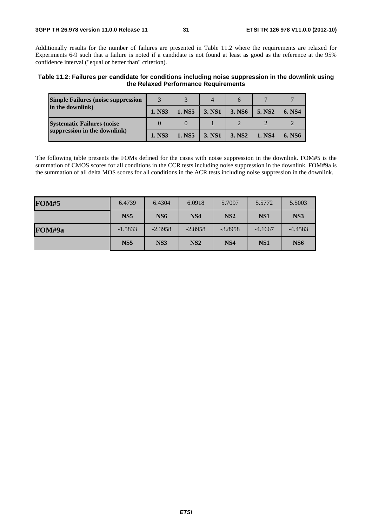Additionally results for the number of failures are presented in Table 11.2 where the requirements are relaxed for Experiments 6-9 such that a failure is noted if a candidate is not found at least as good as the reference at the 95% confidence interval ("equal or better than" criterion).

**Table 11.2: Failures per candidate for conditions including noise suppression in the downlink using the Relaxed Performance Requirements** 

| <b>Simple Failures (noise suppression)</b> |        |        |        |                    |                    |        |
|--------------------------------------------|--------|--------|--------|--------------------|--------------------|--------|
| in the downlink)                           | 1. NS3 | 1. NS5 | 3. NS1 | 3. NS6             | 5. NS <sub>2</sub> | 6. NS4 |
| <b>Systematic Failures (noise</b>          |        |        |        |                    |                    |        |
| suppression in the downlink)               | 1. NS3 | 1. NS5 | 3. NS1 | 3. NS <sub>2</sub> | 1. NS4             | 6. NS6 |

The following table presents the FOMs defined for the cases with noise suppression in the downlink. FOM#5 is the summation of CMOS scores for all conditions in the CCR tests including noise suppression in the downlink. FOM#9a is the summation of all delta MOS scores for all conditions in the ACR tests including noise suppression in the downlink.

| <b>FOM#5</b> | 6.4739          | 6.4304          | 6.0918          | 5.7097          | 5.5772          | 5.5003          |
|--------------|-----------------|-----------------|-----------------|-----------------|-----------------|-----------------|
|              | NS <sub>5</sub> | NS <sub>6</sub> | NS <sub>4</sub> | NS <sub>2</sub> | NS <sub>1</sub> | NS3             |
| FOM#9a       | $-1.5833$       | $-2.3958$       | $-2.8958$       | $-3.8958$       | $-4.1667$       | $-4.4583$       |
|              | NS <sub>5</sub> | NS3             | NS <sub>2</sub> | NS <sub>4</sub> | NS <sub>1</sub> | NS <sub>6</sub> |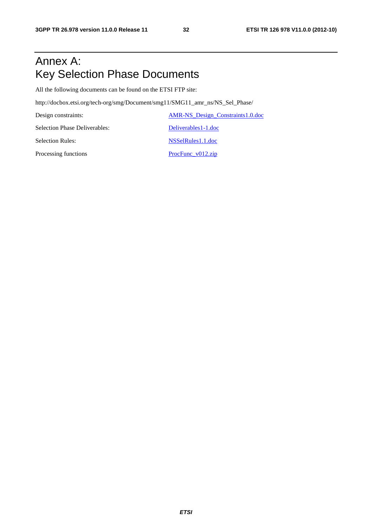### Annex A: Key Selection Phase Documents

All the following documents can be found on the ETSI FTP site:

http://docbox.etsi.org/tech-org/smg/Document/smg11/SMG11\_amr\_ns/NS\_Sel\_Phase/

Design constraints: AMR-NS\_Design\_Constraints1.0.doc Selection Phase Deliverables: Deliverables Deliverables1-1.doc Selection Rules: NSSelRules1.1.doc Processing functions ProcFunc\_v012.zip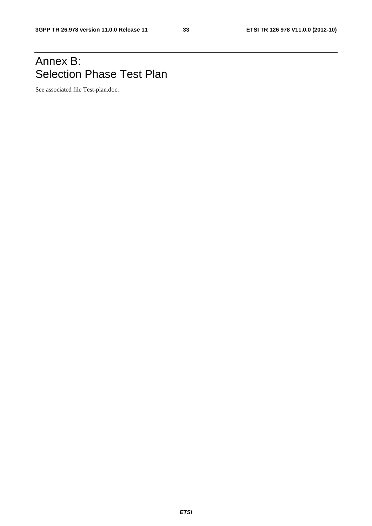### Annex B: Selection Phase Test Plan

See associated file Test-plan.doc.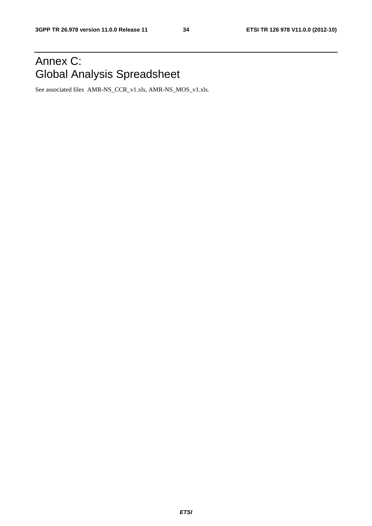## Annex C: Global Analysis Spreadsheet

See associated files AMR-NS\_CCR\_v1.xls, AMR-NS\_MOS\_v1.xls.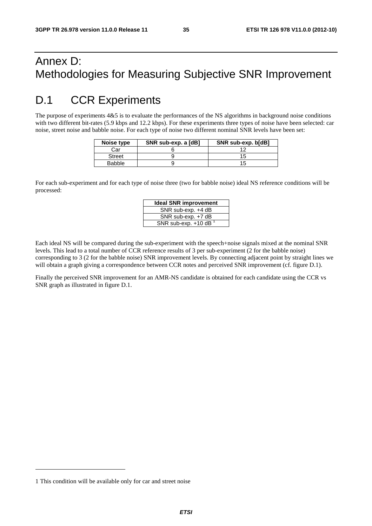### Annex D: Methodologies for Measuring Subjective SNR Improvement

### D.1 CCR Experiments

The purpose of experiments 4&5 is to evaluate the performances of the NS algorithms in background noise conditions with two different bit-rates (5.9 kbps and 12.2 kbps). For these experiments three types of noise have been selected: car noise, street noise and babble noise. For each type of noise two different nominal SNR levels have been set:

| Noise type    | SNR sub-exp. a [dB] | SNR sub-exp. b[dB] |
|---------------|---------------------|--------------------|
| Car           |                     |                    |
| <b>Street</b> |                     |                    |
| Babble        |                     | 15                 |

For each sub-experiment and for each type of noise three (two for babble noise) ideal NS reference conditions will be processed:

| <b>Ideal SNR improvement</b>       |  |  |  |  |  |
|------------------------------------|--|--|--|--|--|
| SNR sub-exp. +4 dB                 |  |  |  |  |  |
| SNR sub-exp. +7 dB                 |  |  |  |  |  |
| SNR sub-exp. $+10$ dB <sup>1</sup> |  |  |  |  |  |

Each ideal NS will be compared during the sub-experiment with the speech+noise signals mixed at the nominal SNR levels. This lead to a total number of CCR reference results of 3 per sub-experiment (2 for the babble noise) corresponding to 3 (2 for the babble noise) SNR improvement levels. By connecting adjacent point by straight lines we will obtain a graph giving a correspondence between CCR notes and perceived SNR improvement (cf. figure D.1).

Finally the perceived SNR improvement for an AMR-NS candidate is obtained for each candidate using the CCR vs SNR graph as illustrated in figure D.1.

1

<sup>1</sup> This condition will be available only for car and street noise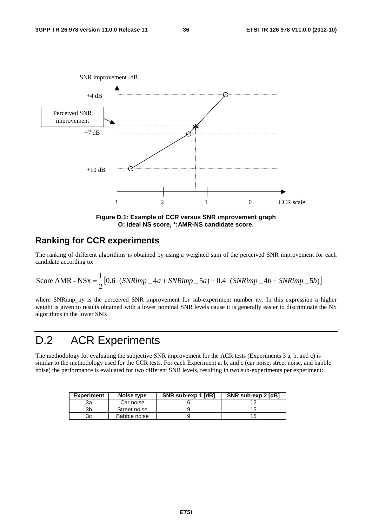

**Figure D.1: Example of CCR versus SNR improvement graph O: ideal NS score, \*:AMR-NS candidate score.** 

### **Ranking for CCR experiments**

The ranking of different algorithms is obtained by using a weighted sum of the perceived SNR improvement for each candidate according to:

$$
Score AMR - NSx = \frac{1}{2} [0.6 \cdot (SNRimp - 4a + SNRimp - 5a) + 0.4 \cdot (SNRimp - 4b + SNRimp - 5b)]
$$

where SNRimp ny is the perceived SNR improvement for sub-experiment number ny. In this expression a higher weight is given to results obtained with a lower nominal SNR levels cause it is generally easier to discriminate the NS algorithms in the lower SNR.

### D.2 ACR Experiments

The methodology for evaluating the subjective SNR improvement for the ACR tests (Experiments 3 a, b, and c) is similar to the methodology used for the CCR tests. For each Experiment a, b, and c (car noise, street noise, and babble noise) the performance is evaluated for two different SNR levels, resulting in two sub-experiments per experiment:

| <b>Experiment</b> | Noise type   | SNR sub-exp 1 [dB] | SNR sub-exp 2 [dB] |
|-------------------|--------------|--------------------|--------------------|
| За                | Car noise    |                    |                    |
| Зb                | Street noise |                    | 15                 |
| Зc                | Babble noise |                    | כ ו                |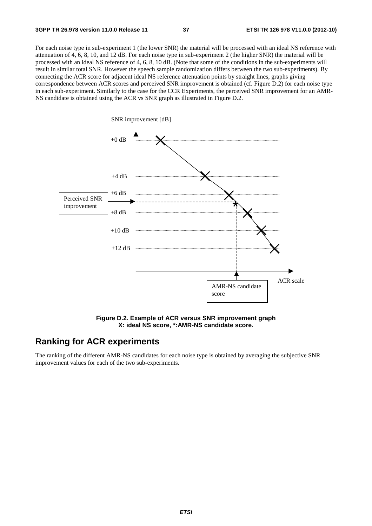For each noise type in sub-experiment 1 (the lower SNR) the material will be processed with an ideal NS reference with attenuation of 4, 6, 8, 10, and 12 dB. For each noise type in sub-experiment 2 (the higher SNR) the material will be processed with an ideal NS reference of 4, 6, 8, 10 dB. (Note that some of the conditions in the sub-experiments will result in similar total SNR. However the speech sample randomization differs between the two sub-experiments). By connecting the ACR score for adjacent ideal NS reference attenuation points by straight lines, graphs giving correspondence between ACR scores and perceived SNR improvement is obtained (cf. Figure D.2) for each noise type in each sub-experiment. Similarly to the case for the CCR Experiments, the perceived SNR improvement for an AMR-NS candidate is obtained using the ACR vs SNR graph as illustrated in Figure D.2.



**Figure D.2. Example of ACR versus SNR improvement graph X: ideal NS score, \*:AMR-NS candidate score.** 

### **Ranking for ACR experiments**

The ranking of the different AMR-NS candidates for each noise type is obtained by averaging the subjective SNR improvement values for each of the two sub-experiments.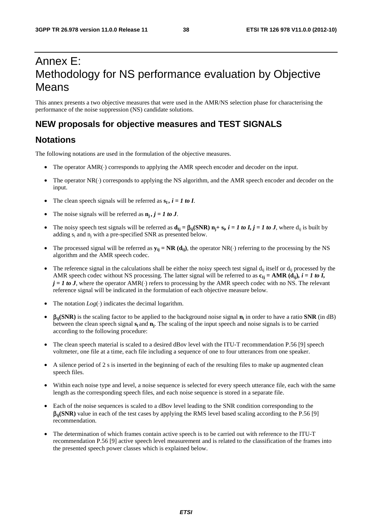### Annex E: Methodology for NS performance evaluation by Objective Means

This annex presents a two objective measures that were used in the AMR/NS selection phase for characterising the performance of the noise suppression (NS) candidate solutions.

### **NEW proposals for objective measures and TEST SIGNALS**

### **Notations**

The following notations are used in the formulation of the objective measures.

- The operator AMR(·) corresponds to applying the AMR speech encoder and decoder on the input.
- The operator NR(⋅) corresponds to applying the NS algorithm, and the AMR speech encoder and decoder on the input.
- The clean speech signals will be referred as  $s_I$ ,  $i = 1$  to I.
- The noise signals will be referred as  $n_i$ ,  $j = 1$  to J.
- The noisy speech test signals will be referred as  $d_{Ij} = \beta_{ij}(SNR) n_j + s_i$ ,  $i = 1$  to *I*,  $j = 1$  to *J*, where  $d_{ii}$  is built by adding s<sub>i</sub> and n<sub>i</sub> with a pre-specified SNR as presented below.
- The processed signal will be referred as  $y_{ij} = NR$  ( $d_{ij}$ ), the operator NR(⋅) referring to the processing by the NS algorithm and the AMR speech codec.
- The reference signal in the calculations shall be either the noisy speech test signal  $d_{ii}$  itself or  $d_{ii}$  processed by the AMR speech codec without NS processing. The latter signal will be referred to as  $\mathbf{c}_{Ij} = \mathbf{AMR}(\mathbf{d}_{ij})$ *, i = 1 to I,*  $j = 1$  to J, where the operator AMR( $\cdot$ ) refers to processing by the AMR speech codec with no NS. The relevant reference signal will be indicated in the formulation of each objective measure below.
- The notation  $Log(\cdot)$  indicates the decimal logarithm.
- β**ij(SNR)** is the scaling factor to be applied to the background noise signal **ni** in order to have a ratio **SNR** (in dB) between the clean speech signal **si** and **nj**. The scaling of the input speech and noise signals is to be carried according to the following procedure:
- The clean speech material is scaled to a desired dBov level with the ITU-T recommendation P.56 [9] speech voltmeter, one file at a time, each file including a sequence of one to four utterances from one speaker.
- A silence period of 2 s is inserted in the beginning of each of the resulting files to make up augmented clean speech files.
- Within each noise type and level, a noise sequence is selected for every speech utterance file, each with the same length as the corresponding speech files, and each noise sequence is stored in a separate file.
- Each of the noise sequences is scaled to a dBov level leading to the SNR condition corresponding to the β**ij(SNR)** value in each of the test cases by applying the RMS level based scaling according to the P.56 [9] recommendation.
- The determination of which frames contain active speech is to be carried out with reference to the ITU-T recommendation P.56 [9] active speech level measurement and is related to the classification of the frames into the presented speech power classes which is explained below.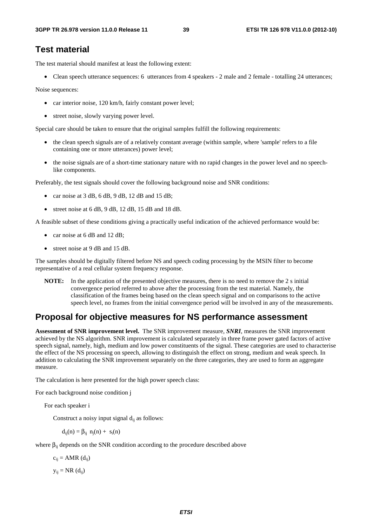#### **Test material**

The test material should manifest at least the following extent:

• Clean speech utterance sequences: 6 utterances from 4 speakers - 2 male and 2 female - totalling 24 utterances;

Noise sequences:

- car interior noise, 120 km/h, fairly constant power level;
- street noise, slowly varying power level.

Special care should be taken to ensure that the original samples fulfill the following requirements:

- the clean speech signals are of a relatively constant average (within sample, where 'sample' refers to a file containing one or more utterances) power level;
- the noise signals are of a short-time stationary nature with no rapid changes in the power level and no speechlike components.

Preferably, the test signals should cover the following background noise and SNR conditions:

- car noise at  $3$  dB,  $6$  dB,  $9$  dB,  $12$  dB and  $15$  dB;
- street noise at 6 dB, 9 dB, 12 dB, 15 dB and 18 dB.

A feasible subset of these conditions giving a practically useful indication of the achieved performance would be:

- car noise at 6 dB and 12 dB;
- street noise at 9 dB and 15 dB.

The samples should be digitally filtered before NS and speech coding processing by the MSIN filter to become representative of a real cellular system frequency response.

**NOTE:** In the application of the presented objective measures, there is no need to remove the 2 s initial convergence period referred to above after the processing from the test material. Namely, the classification of the frames being based on the clean speech signal and on comparisons to the active speech level, no frames from the initial convergence period will be involved in any of the measurements.

#### **Proposal for objective measures for NS performance assessment**

**Assessment of SNR improvement level.** The SNR improvement measure, *SNRI*, measures the SNR improvement achieved by the NS algorithm. SNR improvement is calculated separately in three frame power gated factors of active speech signal, namely, high, medium and low power constituents of the signal. These categories are used to characterise the effect of the NS processing on speech, allowing to distinguish the effect on strong, medium and weak speech. In addition to calculating the SNR improvement separately on the three categories, they are used to form an aggregate measure.

The calculation is here presented for the high power speech class:

For each background noise condition j

For each speaker i

Construct a noisy input signal  $d_{ii}$  as follows:

 $d_{ij}(n) = \beta_{ij} n_j(n) + s_i(n)$ 

where  $\beta_{ii}$  depends on the SNR condition according to the procedure described above

 $c_{ii} = AMR$  (d<sub>ij</sub>)

 $y_{ij} = NR (d_{ij})$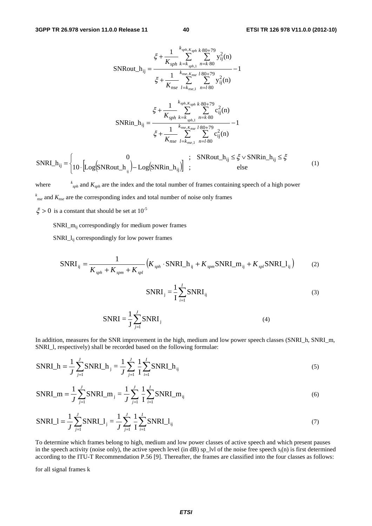$$
\mathbf{SNRout} \cdot h_{ij} = \frac{\xi + \frac{1}{K_{sph}} \sum_{k=k_{sph,1}}^{k_{sph}} \sum_{n=k}^{K_{s0}+79} y_{ij}^{2}(n)}{\xi + \frac{1}{K_{nse}} \sum_{l=k_{nse,1}}^{k_{nse}K_{nse}l-80+79} \sum_{n=l-80}^{K_{nse}+79} y_{ij}^{2}(n)} - 1
$$
\n
$$
\xi + \frac{1}{K_{nse}} \sum_{l=k_{nse,1}}^{k_{sph}} \sum_{n=l-80}^{K_{sph+5}+79} y_{ij}^{2}(n)
$$
\n
$$
\mathbf{SNRin} \cdot h_{ij} = \frac{\xi + \frac{1}{K_{sph}} \sum_{k=k_{sph,1}}^{k_{sph}} \sum_{n=k-80}^{K_{s0}+79} c_{ij}^{2}(n)}{\xi + \frac{1}{K_{nse}} \sum_{l=k_{nse,1}}^{k_{nse}K_{nse}l-80+79} \sum_{n=l-80}^{K_{nse}+79} c_{ij}^{2}(n)}
$$
\n
$$
\frac{0}{K_{sph+1}} \sum_{n=l-80}^{K_{nse,1}} \sum_{n=l-80}^{K_{nse,1}} \sum_{n=l-80}^{K_{nse,1}} c_{ij}^{2}(n)
$$
\n
$$
\frac{0}{K_{nse}} \sum_{k=k_{nse,1}}^{K_{nse,1}} \sum_{n=l-80}^{K_{nse,1}} c_{ij}^{2}(n)
$$
\n
$$
\frac{0}{K_{nse}} \sum_{n=l-80}^{K_{nse,1}} c_{ij}^{2}(n)
$$
\n
$$
\frac{0}{K_{nse}} \sum_{n=l-80}^{K_{nse,1}} c_{ij}^{2}(n)
$$
\n
$$
\frac{0}{K_{nse,1}} \sum_{n=l-80}^{K_{nse,1}} c_{ij}^{2}(n)
$$
\n
$$
\frac{0}{K_{nse,1}} \sum_{n=l-80}^{K_{nse,1}} c_{ij}^{2}(n)
$$
\n
$$
\frac{0}{K_{nse,1}} \sum_{n=l-80}^{K_{nse,1}} c_{ij}^{2}(n)
$$
\n
$$
\frac{0}{K_{nse,1}} \sum
$$

 $\left\{10 \cdot \left[\text{Log}(\text{SNRout}_i_{ij}) - \text{Log}(\text{SNRin}_i_{ij})\right]\right\}$  $\parallel$ ⎧  $=\begin{cases} 0 & ; \quad \text{SNRout}_{ij} \leq \xi \vee \text{SNRin}_{ij} \leq \xi \end{cases}$ <br>10.  $\left[\text{Log}(\text{SNRout}_{ik}) - \text{Log}(\text{SNRin}_{ik})\right]$  ; else SNRI\_h  $\mathbf{L}_{ij}$  = 10  $\cdot$  [Log(SNRout\_h<sub>ij</sub>) – Log(SNRin\_h<sub>ij</sub> ij

where *<sup>k</sup>*  $k_{sph}$  and  $K_{sph}$  are the index and the total number of frames containing speech of a high power *k nse* and *Knse* are the corresponding index and total number of noise only frames

 $\xi > 0$  is a constant that should be set at  $10^{-5}$ 

SNRI $\,$ m<sub>ii</sub> correspondingly for medium power frames

SNRI\_lij correspondingly for low power frames

$$
SNRI_{ij} = \frac{1}{K_{sph} + K_{spm} + K_{spl}} \left( K_{sph} \cdot SNRI_h + K_{spm} SNRI_m + K_{spl} SNRI_l \right) \tag{2}
$$

$$
SNRI_j = \frac{1}{I} \sum_{i=1}^{I} SNRI_{ij}
$$
 (3)

$$
SNRI = \frac{1}{J} \sum_{j=1}^{J} SNRI_j
$$
\n(4)

In addition, measures for the SNR improvement in the high, medium and low power speech classes (SNRI\_h, SNRI\_m, SNRI\_l, respectively) shall be recorded based on the following formulae:

SNRI<sub>h</sub> = 
$$
\frac{1}{J} \sum_{j=1}^{J} SNRI_{j} = \frac{1}{J} \sum_{j=1}^{J} \frac{1}{I} \sum_{i=1}^{I} SNRI_{j}
$$
 (5)

SNRI\_m = 
$$
\frac{1}{J} \sum_{j=1}^{J} SNRI_m
$$
<sub>j</sub> =  $\frac{1}{J} \sum_{j=1}^{J} \frac{1}{I} \sum_{i=1}^{I} SNRI_m$ <sub>ij</sub> (6)

$$
SNRI_{\_} = \frac{1}{J} \sum_{j=1}^{J} SNRI_{\_} = \frac{1}{J} \sum_{j=1}^{J} \frac{1}{I} \sum_{i=1}^{I} SNRI_{\_} = \frac{1}{1}
$$
\n(7)

To determine which frames belong to high, medium and low power classes of active speech and which present pauses in the speech activity (noise only), the active speech level (in dB) sp\_lvl of the noise free speech  $s_i(n)$  is first determined according to the ITU-T Recommendation P.56 [9]. Thereafter, the frames are classified into the four classes as follows:

for all signal frames k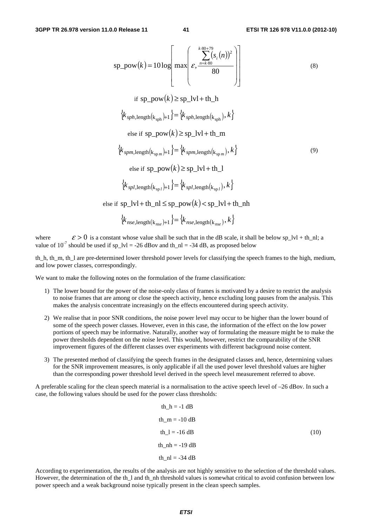$$
sp\_pow(k) = 10 log \left[ max \left( \sum_{s,\frac{m=k.80}{80}}^{k.\frac{80+79}{80}} \left( s,(n) \right)^2 \right) \right]
$$
\n
$$
if sp\_pow(k) \ge sp\_lvl + th\_h
$$
\n
$$
\left\{ k_{sph,length(k_{sph})+1} \right\} = \left\{ k_{sph,length(k_{sph})}, k \right\}
$$
\n
$$
else if sp\_pow(k) \ge sp\_lvl + th\_m
$$
\n
$$
\left\{ k_{spm,length(k_{spm})+1} \right\} = \left\{ k_{spm,length(k_{spm})}, k \right\}
$$
\n
$$
else if sp\_pow(k) \ge sp\_lvl + th\_l
$$
\n
$$
\left\{ k_{spl,length(k_{spl})+1} \right\} = \left\{ k_{spl,length(k_{spl})}, k \right\}
$$
\n
$$
else if sp\_lvl + th\_nl \le sp\_pow(k) < sp\_lvl + th\_nh
$$

$$
\left\{k_{nse, \text{length}(k_{nse})+1}\right\} = \left\{k_{nse, \text{length}(k_{nse})}, k\right\}
$$

where  $\epsilon > 0$  is a constant whose value shall be such that in the dB scale, it shall be below sp\_lvl + th\_nl; a value of  $10^{-7}$  should be used if sp  $\text{lvl} = -26$  dBov and th  $\text{nl} = -34$  dB, as proposed below

th\_h, th\_m, th\_l are pre-determined lower threshold power levels for classifying the speech frames to the high, medium, and low power classes, correspondingly.

We want to make the following notes on the formulation of the frame classification:

- 1) The lower bound for the power of the noise-only class of frames is motivated by a desire to restrict the analysis to noise frames that are among or close the speech activity, hence excluding long pauses from the analysis. This makes the analysis concentrate increasingly on the effects encountered during speech activity.
- 2) We realise that in poor SNR conditions, the noise power level may occur to be higher than the lower bound of some of the speech power classes. However, even in this case, the information of the effect on the low power portions of speech may be informative. Naturally, another way of formulating the measure might be to make the power thresholds dependent on the noise level. This would, however, restrict the comparability of the SNR improvement figures of the different classes over experiments with different background noise content.
- 3) The presented method of classifying the speech frames in the designated classes and, hence, determining values for the SNR improvement measures, is only applicable if all the used power level threshold values are higher than the corresponding power threshold level derived in the speech level measurement referred to above.

A preferable scaling for the clean speech material is a normalisation to the active speech level of  $-26$  dBov. In such a case, the following values should be used for the power class thresholds:

$$
th_h = -1 dB
$$
  
\n
$$
th_m = -10 dB
$$
  
\n
$$
th_l = -16 dB
$$
  
\n
$$
th_m = -19 dB
$$
  
\n
$$
th_m = -34 dB
$$
  
\n
$$
(10)
$$

According to experimentation, the results of the analysis are not highly sensitive to the selection of the threshold values. However, the determination of the th\_l and th\_nh threshold values is somewhat critical to avoid confusion between low power speech and a weak background noise typically present in the clean speech samples.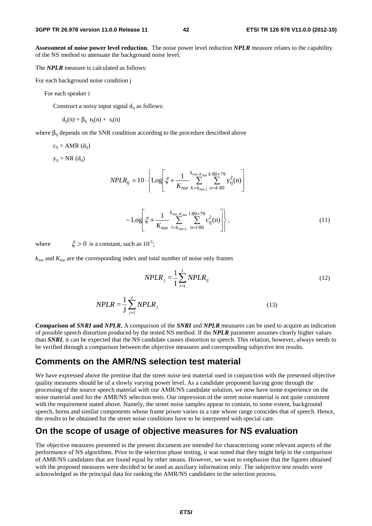**Assessment of noise power level reduction.** The noise power level reduction *NPLR* measure relates to the capability of the NS method to attenuate the background noise level.

The *NPLR* measure is calculated as follows:

For each background noise condition j

For each speaker i

Construct a noisy input signal  $d_{ii}$  as follows:

$$
d_{ij}(n) = \beta_{ij} \ n_j(n) + s_i(n)
$$

where  $\beta_{ii}$  depends on the SNR condition according to the procedure described above

$$
c_{ij} = AMR (d_{ij})
$$

 $y_{ij} = NR(d_{ij})$ 

$$
NPLR_{ij} = 10 \cdot \left\{ \text{Log} \left[ \xi + \frac{1}{K_{nse}} \sum_{k=k_{nse,1}}^{k_{nse,K_{nse}} k \cdot 80 + 79} y_{ij}^2(n) \right] \right\}
$$

$$
-Log\left[\xi + \frac{1}{K_{nse}} \sum_{l=k_{nse,1}}^{k_{nse,K_{nse}}} \sum_{n=l \cdot 80}^{l \cdot 80 + 79} c_{ij}^2(n)\right],
$$
\n(11)

where  $\xi > 0$  is a constant, such as  $10^{-5}$ .

*knse* and *Knse* are the corresponding index and total number of noise only frames

$$
NPLR_j = \frac{1}{I} \sum_{i=1}^{I} NPLR_{ij}
$$
\n(12)

$$
NPLR = \frac{1}{J} \sum_{j=1}^{J} NPLR_j
$$
\n(13)

**Comparison of** *SNRI* **and** *NPLR***.** A comparison of the *SNRI* and *NPLR* measures can be used to acquire an indication of possible speech distortion produced by the tested NS method. If the *NPLR* parameter assumes clearly higher values than *SNRI*, it can be expected that the NS candidate causes distortion to speech. This relation, however, always needs to be verified through a comparison between the objective measures and corresponding subjective test results.

#### **Comments on the AMR/NS selection test material**

We have expressed above the premise that the street noise test material used in conjunction with the presented objective quality measures should be of a slowly varying power level. As a candidate proponent having gone through the processing of the source speech material with our AMR/NS candidate solution, we now have some experience on the noise material used for the AMR/NS selection tests. Our impression of the street noise material is not quite consistent with the requirement stated above. Namely, the street noise samples appear to contain, to some extent, background speech, horns and similar components whose frame power varies in a rate whose range coincides that of speech. Hence, the results to be obtained for the street noise conditions have to be interpreted with special care.

#### **On the scope of usage of objective measures for NS evaluation**

The objective measures presented in the present document are intended for characterising some relevant aspects of the performance of NS algorithms. Prior to the selection phase testing, it was noted that they might help in the comparison of AMR/NS candidates that are found equal by other means. However, we want to emphasise that the figures obtained with the proposed measures were decided to be used as auxiliary information only. The subjective test results were acknowledged as the principal data for ranking the AMR/NS candidates in the selection process.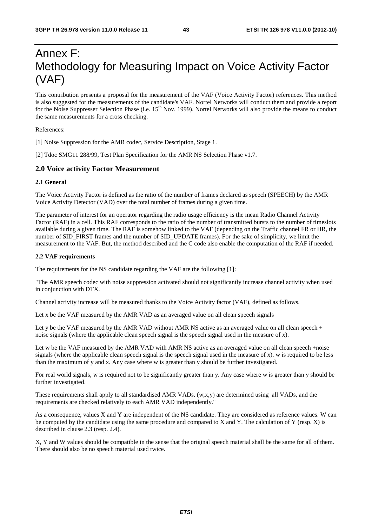### Annex F: Methodology for Measuring Impact on Voice Activity Factor (VAF)

This contribution presents a proposal for the measurement of the VAF (Voice Activity Factor) references. This method is also suggested for the measurements of the candidate's VAF. Nortel Networks will conduct them and provide a report for the Noise Suppresser Selection Phase (i.e. 15<sup>th</sup> Nov. 1999). Nortel Networks will also provide the means to conduct the same measurements for a cross checking.

References:

[1] Noise Suppression for the AMR codec, Service Description, Stage 1.

[2] Tdoc SMG11 288/99, Test Plan Specification for the AMR NS Selection Phase v1.7.

#### **2.0 Voice activity Factor Measurement**

#### **2.1 General**

The Voice Activity Factor is defined as the ratio of the number of frames declared as speech (SPEECH) by the AMR Voice Activity Detector (VAD) over the total number of frames during a given time.

The parameter of interest for an operator regarding the radio usage efficiency is the mean Radio Channel Activity Factor (RAF) in a cell. This RAF corresponds to the ratio of the number of transmitted bursts to the number of timeslots available during a given time. The RAF is somehow linked to the VAF (depending on the Traffic channel FR or HR, the number of SID\_FIRST frames and the number of SID\_UPDATE frames). For the sake of simplicity, we limit the measurement to the VAF. But, the method described and the C code also enable the computation of the RAF if needed.

#### **2.2 VAF requirements**

The requirements for the NS candidate regarding the VAF are the following [1]:

"The AMR speech codec with noise suppression activated should not significantly increase channel activity when used in conjunction with DTX.

Channel activity increase will be measured thanks to the Voice Activity factor (VAF), defined as follows.

Let x be the VAF measured by the AMR VAD as an averaged value on all clean speech signals

Let y be the VAF measured by the AMR VAD without AMR NS active as an averaged value on all clean speech + noise signals (where the applicable clean speech signal is the speech signal used in the measure of x).

Let w be the VAF measured by the AMR VAD with AMR NS active as an averaged value on all clean speech +noise signals (where the applicable clean speech signal is the speech signal used in the measure of x). w is required to be less than the maximum of y and x. Any case where w is greater than y should be further investigated.

For real world signals, w is required not to be significantly greater than y. Any case where w is greater than y should be further investigated.

These requirements shall apply to all standardised AMR VADs. (w,x,y) are determined using all VADs, and the requirements are checked relatively to each AMR VAD independently."

As a consequence, values X and Y are independent of the NS candidate. They are considered as reference values. W can be computed by the candidate using the same procedure and compared to X and Y. The calculation of Y (resp. X) is described in clause 2.3 (resp. 2.4).

X, Y and W values should be compatible in the sense that the original speech material shall be the same for all of them. There should also be no speech material used twice.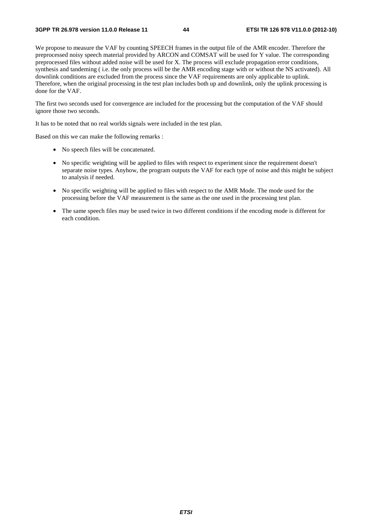We propose to measure the VAF by counting SPEECH frames in the output file of the AMR encoder. Therefore the preprocessed noisy speech material provided by ARCON and COMSAT will be used for Y value. The corresponding preprocessed files without added noise will be used for X. The process will exclude propagation error conditions, synthesis and tandeming ( i.e. the only process will be the AMR encoding stage with or without the NS activated). All downlink conditions are excluded from the process since the VAF requirements are only applicable to uplink. Therefore, when the original processing in the test plan includes both up and downlink, only the uplink processing is done for the VAF.

The first two seconds used for convergence are included for the processing but the computation of the VAF should ignore those two seconds.

It has to be noted that no real worlds signals were included in the test plan.

Based on this we can make the following remarks :

- No speech files will be concatenated.
- No specific weighting will be applied to files with respect to experiment since the requirement doesn't separate noise types. Anyhow, the program outputs the VAF for each type of noise and this might be subject to analysis if needed.
- No specific weighting will be applied to files with respect to the AMR Mode. The mode used for the processing before the VAF measurement is the same as the one used in the processing test plan.
- The same speech files may be used twice in two different conditions if the encoding mode is different for each condition.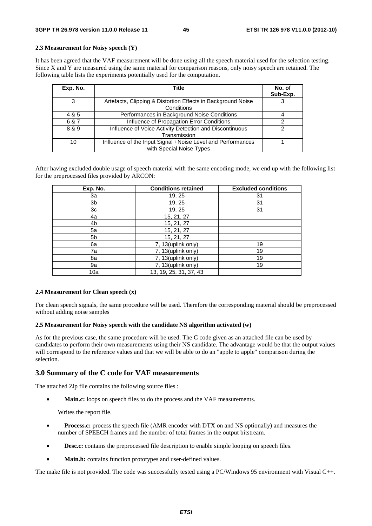#### **2.3 Measurement for Noisy speech (Y)**

It has been agreed that the VAF measurement will be done using all the speech material used for the selection testing. Since X and Y are measured using the same material for comparison reasons, only noisy speech are retained. The following table lists the experiments potentially used for the computation.

| Exp. No. | Title                                                                                   | No. of<br>Sub-Exp. |
|----------|-----------------------------------------------------------------------------------------|--------------------|
| 3        | Artefacts, Clipping & Distortion Effects in Background Noise<br>Conditions              | 3                  |
| 4 & 5    | Performances in Background Noise Conditions                                             |                    |
| 6 & 7    | Influence of Propagation Error Conditions                                               |                    |
| 8 & 9    | Influence of Voice Activity Detection and Discontinuous<br>Transmission                 | 2                  |
| 10       | Influence of the Input Signal +Noise Level and Performances<br>with Special Noise Types |                    |

After having excluded double usage of speech material with the same encoding mode, we end up with the following list for the preprocessed files provided by ARCON:

| Exp. No. | <b>Conditions retained</b> | <b>Excluded conditions</b> |
|----------|----------------------------|----------------------------|
| За       | 19, 25                     | 31                         |
| 3b       | 19, 25                     | 31                         |
| 3c       | 19, 25                     | 31                         |
| 4a       | 15, 21, 27                 |                            |
| 4b       | 15, 21, 27                 |                            |
| 5a       | 15, 21, 27                 |                            |
| 5b       | 15, 21, 27                 |                            |
| 6a       | 7, 13(uplink only)         | 19                         |
| 7a       | 7, 13(uplink only)         | 19                         |
| 8a       | 7, 13(uplink only)         | 19                         |
| 9a       | 7, 13(uplink only)         | 19                         |
| 10a      | 13, 19, 25, 31, 37, 43     |                            |

#### **2.4 Measurement for Clean speech (x)**

For clean speech signals, the same procedure will be used. Therefore the corresponding material should be preprocessed without adding noise samples

#### **2.5 Measurement for Noisy speech with the candidate NS algorithm activated (w)**

As for the previous case, the same procedure will be used. The C code given as an attached file can be used by candidates to perform their own measurements using their NS candidate. The advantage would be that the output values will correspond to the reference values and that we will be able to do an "apple to apple" comparison during the selection.

#### **3.0 Summary of the C code for VAF measurements**

The attached Zip file contains the following source files :

Main.c: loops on speech files to do the process and the VAF measurements.

Writes the report file.

- **Process.c:** process the speech file (AMR encoder with DTX on and NS optionally) and measures the number of SPEECH frames and the number of total frames in the output bitstream.
- **Desc.c:** contains the preprocessed file description to enable simple looping on speech files.
- **Main.h:** contains function prototypes and user-defined values.

The make file is not provided. The code was successfully tested using a PC/Windows 95 environment with Visual C++.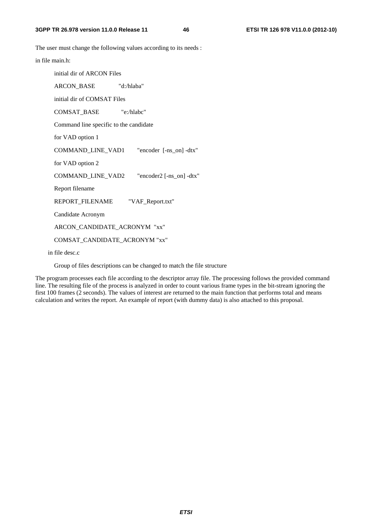The user must change the following values according to its needs :

in file main.h:

initial dir of ARCON Files

 ARCON\_BASE "d:/hlaba" initial dir of COMSAT Files COMSAT\_BASE "e:/hlabc" Command line specific to the candidate for VAD option 1 COMMAND\_LINE\_VAD1 "encoder [-ns\_on] -dtx" for VAD option 2 COMMAND\_LINE\_VAD2 "encoder2 [-ns\_on] -dtx" Report filename REPORT\_FILENAME "VAF\_Report.txt" Candidate Acronym ARCON\_CANDIDATE\_ACRONYM "xx" COMSAT\_CANDIDATE\_ACRONYM "xx"

in file desc.c

Group of files descriptions can be changed to match the file structure

The program processes each file according to the descriptor array file. The processing follows the provided command line. The resulting file of the process is analyzed in order to count various frame types in the bit-stream ignoring the first 100 frames (2 seconds). The values of interest are returned to the main function that performs total and means calculation and writes the report. An example of report (with dummy data) is also attached to this proposal.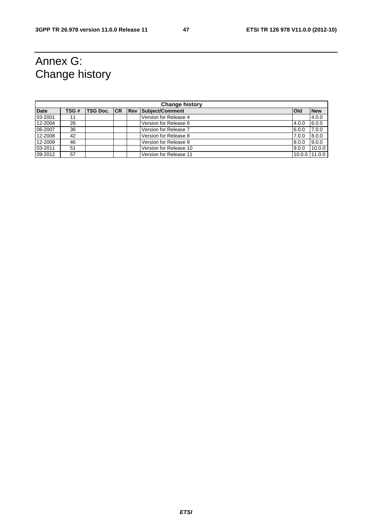## Annex G: Change history

| <b>Change history</b> |      |                 |  |  |                        |              |               |  |
|-----------------------|------|-----------------|--|--|------------------------|--------------|---------------|--|
| <b>Date</b>           | TSG# | TSG Doc. CR Rev |  |  | Subject/Comment        | <b>l</b> Old | <b>New</b>    |  |
| 03-2001               | 11   |                 |  |  | Version for Release 4  |              | 4.0.0         |  |
| 12-2004               | 26   |                 |  |  | Version for Release 6  | 4.0.0        | 6.0.0         |  |
| 06-2007               | 36   |                 |  |  | Version for Release 7  | 6.0.0        | 7.0.0         |  |
| 12-2008               | 42   |                 |  |  | Version for Release 8  | 7.0.0        | 8.0.0         |  |
| 12-2009               | 46   |                 |  |  | Version for Release 9  | 8.0.0        | 9.0.0         |  |
| 03-2011               | 51   |                 |  |  | Version for Release 10 | 9.0.0        | 10.0.0        |  |
| 09-2012               | 57   |                 |  |  | Version for Release 11 |              | 10.0.0 11.0.0 |  |